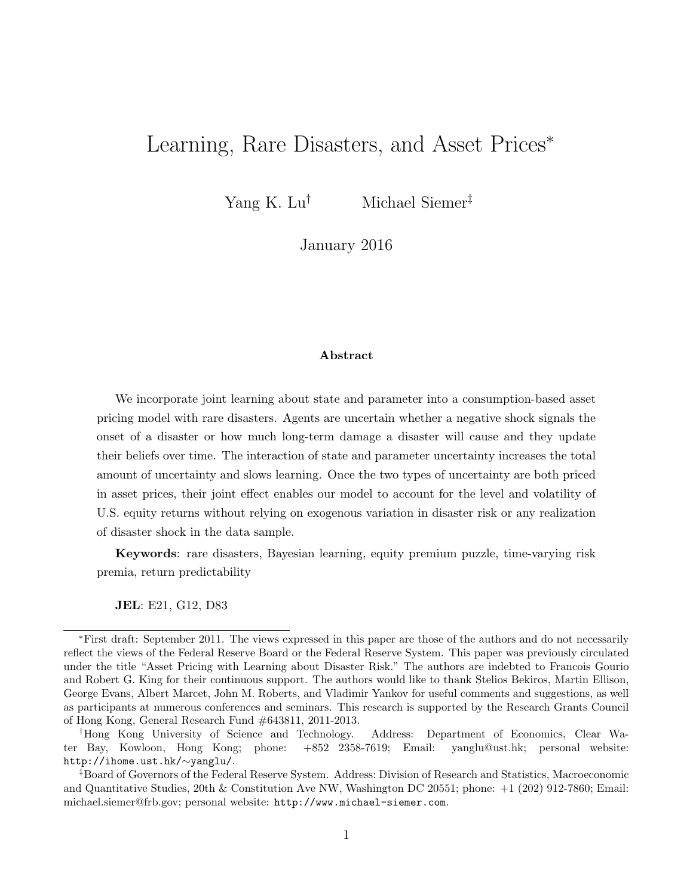# Learning, Rare Disasters, and Asset Prices<sup>∗</sup>

Yang K. Lu<sup>†</sup> Michael Siemer<sup>‡</sup>

January 2016

#### Abstract

We incorporate joint learning about state and parameter into a consumption-based asset pricing model with rare disasters. Agents are uncertain whether a negative shock signals the onset of a disaster or how much long-term damage a disaster will cause and they update their beliefs over time. The interaction of state and parameter uncertainty increases the total amount of uncertainty and slows learning. Once the two types of uncertainty are both priced in asset prices, their joint effect enables our model to account for the level and volatility of U.S. equity returns without relying on exogenous variation in disaster risk or any realization of disaster shock in the data sample.

Keywords: rare disasters, Bayesian learning, equity premium puzzle, time-varying risk premia, return predictability

JEL: E21, G12, D83

<sup>∗</sup>First draft: September 2011. The views expressed in this paper are those of the authors and do not necessarily reflect the views of the Federal Reserve Board or the Federal Reserve System. This paper was previously circulated under the title "Asset Pricing with Learning about Disaster Risk." The authors are indebted to Francois Gourio and Robert G. King for their continuous support. The authors would like to thank Stelios Bekiros, Martin Ellison, George Evans, Albert Marcet, John M. Roberts, and Vladimir Yankov for useful comments and suggestions, as well as participants at numerous conferences and seminars. This research is supported by the Research Grants Council of Hong Kong, General Research Fund #643811, 2011-2013.

<sup>†</sup>Hong Kong University of Science and Technology. Address: Department of Economics, Clear Water Bay, Kowloon, Hong Kong; phone: +852 2358-7619; Email: yanglu@ust.hk; personal website: http://ihome.ust.hk/∼yanglu/.

<sup>‡</sup>Board of Governors of the Federal Reserve System. Address: Division of Research and Statistics, Macroeconomic and Quantitative Studies, 20th & Constitution Ave NW, Washington DC 20551; phone: +1 (202) 912-7860; Email: michael.siemer@frb.gov; personal website: http://www.michael-siemer.com.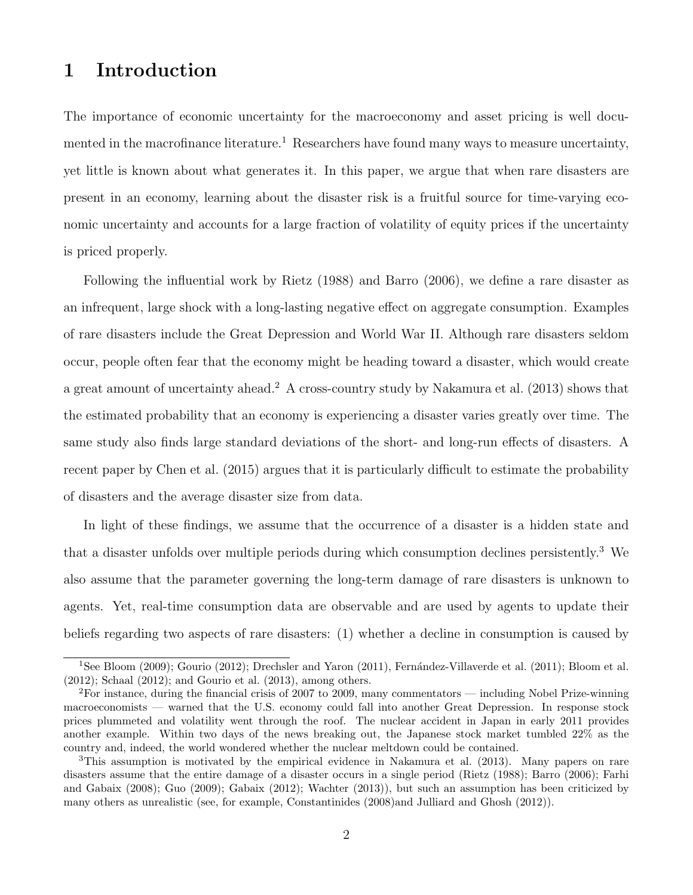# 1 Introduction

The importance of economic uncertainty for the macroeconomy and asset pricing is well documented in the macrofinance literature.<sup>1</sup> Researchers have found many ways to measure uncertainty, yet little is known about what generates it. In this paper, we argue that when rare disasters are present in an economy, learning about the disaster risk is a fruitful source for time-varying economic uncertainty and accounts for a large fraction of volatility of equity prices if the uncertainty is priced properly.

Following the influential work by Rietz (1988) and Barro (2006), we define a rare disaster as an infrequent, large shock with a long-lasting negative effect on aggregate consumption. Examples of rare disasters include the Great Depression and World War II. Although rare disasters seldom occur, people often fear that the economy might be heading toward a disaster, which would create a great amount of uncertainty ahead.<sup>2</sup> A cross-country study by Nakamura et al.  $(2013)$  shows that the estimated probability that an economy is experiencing a disaster varies greatly over time. The same study also finds large standard deviations of the short- and long-run effects of disasters. A recent paper by Chen et al. (2015) argues that it is particularly difficult to estimate the probability of disasters and the average disaster size from data.

In light of these findings, we assume that the occurrence of a disaster is a hidden state and that a disaster unfolds over multiple periods during which consumption declines persistently.<sup>3</sup> We also assume that the parameter governing the long-term damage of rare disasters is unknown to agents. Yet, real-time consumption data are observable and are used by agents to update their beliefs regarding two aspects of rare disasters: (1) whether a decline in consumption is caused by

<sup>&</sup>lt;sup>1</sup>See Bloom (2009); Gourio (2012); Drechsler and Yaron (2011), Fernández-Villaverde et al. (2011); Bloom et al. (2012); Schaal (2012); and Gourio et al. (2013), among others.

<sup>2</sup>For instance, during the financial crisis of 2007 to 2009, many commentators — including Nobel Prize-winning macroeconomists — warned that the U.S. economy could fall into another Great Depression. In response stock prices plummeted and volatility went through the roof. The nuclear accident in Japan in early 2011 provides another example. Within two days of the news breaking out, the Japanese stock market tumbled 22% as the country and, indeed, the world wondered whether the nuclear meltdown could be contained.

<sup>3</sup>This assumption is motivated by the empirical evidence in Nakamura et al. (2013). Many papers on rare disasters assume that the entire damage of a disaster occurs in a single period (Rietz (1988); Barro (2006); Farhi and Gabaix (2008); Guo (2009); Gabaix (2012); Wachter (2013)), but such an assumption has been criticized by many others as unrealistic (see, for example, Constantinides (2008)and Julliard and Ghosh (2012)).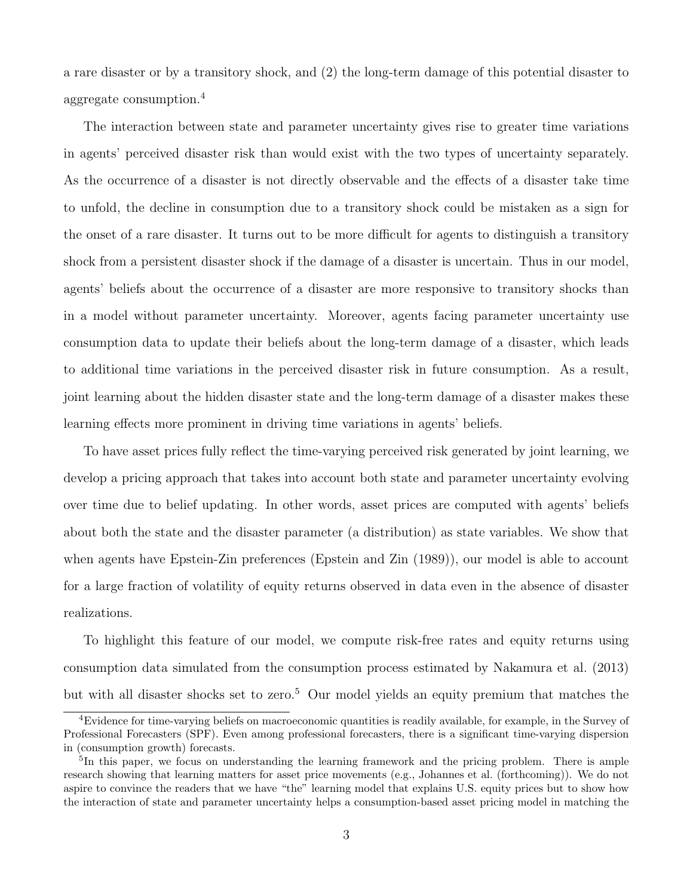a rare disaster or by a transitory shock, and (2) the long-term damage of this potential disaster to aggregate consumption.<sup>4</sup>

The interaction between state and parameter uncertainty gives rise to greater time variations in agents' perceived disaster risk than would exist with the two types of uncertainty separately. As the occurrence of a disaster is not directly observable and the effects of a disaster take time to unfold, the decline in consumption due to a transitory shock could be mistaken as a sign for the onset of a rare disaster. It turns out to be more difficult for agents to distinguish a transitory shock from a persistent disaster shock if the damage of a disaster is uncertain. Thus in our model, agents' beliefs about the occurrence of a disaster are more responsive to transitory shocks than in a model without parameter uncertainty. Moreover, agents facing parameter uncertainty use consumption data to update their beliefs about the long-term damage of a disaster, which leads to additional time variations in the perceived disaster risk in future consumption. As a result, joint learning about the hidden disaster state and the long-term damage of a disaster makes these learning effects more prominent in driving time variations in agents' beliefs.

To have asset prices fully reflect the time-varying perceived risk generated by joint learning, we develop a pricing approach that takes into account both state and parameter uncertainty evolving over time due to belief updating. In other words, asset prices are computed with agents' beliefs about both the state and the disaster parameter (a distribution) as state variables. We show that when agents have Epstein-Zin preferences (Epstein and Zin (1989)), our model is able to account for a large fraction of volatility of equity returns observed in data even in the absence of disaster realizations.

To highlight this feature of our model, we compute risk-free rates and equity returns using consumption data simulated from the consumption process estimated by Nakamura et al. (2013) but with all disaster shocks set to zero.<sup>5</sup> Our model yields an equity premium that matches the

<sup>4</sup>Evidence for time-varying beliefs on macroeconomic quantities is readily available, for example, in the Survey of Professional Forecasters (SPF). Even among professional forecasters, there is a significant time-varying dispersion in (consumption growth) forecasts.

<sup>&</sup>lt;sup>5</sup>In this paper, we focus on understanding the learning framework and the pricing problem. There is ample research showing that learning matters for asset price movements (e.g., Johannes et al. (forthcoming)). We do not aspire to convince the readers that we have "the" learning model that explains U.S. equity prices but to show how the interaction of state and parameter uncertainty helps a consumption-based asset pricing model in matching the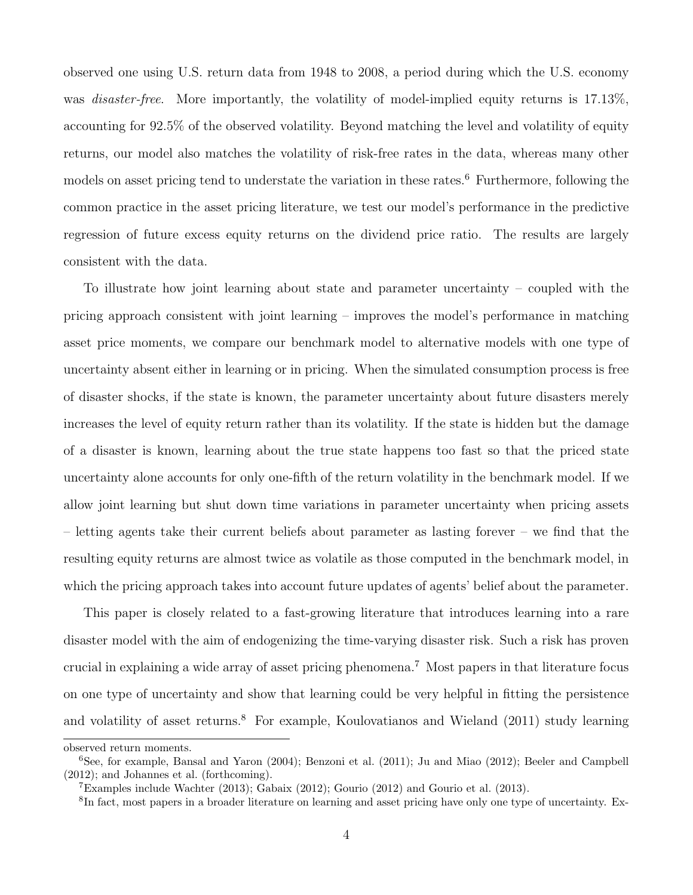observed one using U.S. return data from 1948 to 2008, a period during which the U.S. economy was *disaster-free*. More importantly, the volatility of model-implied equity returns is 17.13%, accounting for 92.5% of the observed volatility. Beyond matching the level and volatility of equity returns, our model also matches the volatility of risk-free rates in the data, whereas many other models on asset pricing tend to understate the variation in these rates.<sup>6</sup> Furthermore, following the common practice in the asset pricing literature, we test our model's performance in the predictive regression of future excess equity returns on the dividend price ratio. The results are largely consistent with the data.

To illustrate how joint learning about state and parameter uncertainty – coupled with the pricing approach consistent with joint learning – improves the model's performance in matching asset price moments, we compare our benchmark model to alternative models with one type of uncertainty absent either in learning or in pricing. When the simulated consumption process is free of disaster shocks, if the state is known, the parameter uncertainty about future disasters merely increases the level of equity return rather than its volatility. If the state is hidden but the damage of a disaster is known, learning about the true state happens too fast so that the priced state uncertainty alone accounts for only one-fifth of the return volatility in the benchmark model. If we allow joint learning but shut down time variations in parameter uncertainty when pricing assets – letting agents take their current beliefs about parameter as lasting forever – we find that the resulting equity returns are almost twice as volatile as those computed in the benchmark model, in which the pricing approach takes into account future updates of agents' belief about the parameter.

This paper is closely related to a fast-growing literature that introduces learning into a rare disaster model with the aim of endogenizing the time-varying disaster risk. Such a risk has proven crucial in explaining a wide array of asset pricing phenomena.<sup>7</sup> Most papers in that literature focus on one type of uncertainty and show that learning could be very helpful in fitting the persistence and volatility of asset returns.<sup>8</sup> For example, Koulovatianos and Wieland  $(2011)$  study learning

observed return moments.

<sup>6</sup>See, for example, Bansal and Yaron (2004); Benzoni et al. (2011); Ju and Miao (2012); Beeler and Campbell (2012); and Johannes et al. (forthcoming).

<sup>7</sup>Examples include Wachter (2013); Gabaix (2012); Gourio (2012) and Gourio et al. (2013).

<sup>&</sup>lt;sup>8</sup>In fact, most papers in a broader literature on learning and asset pricing have only one type of uncertainty. Ex-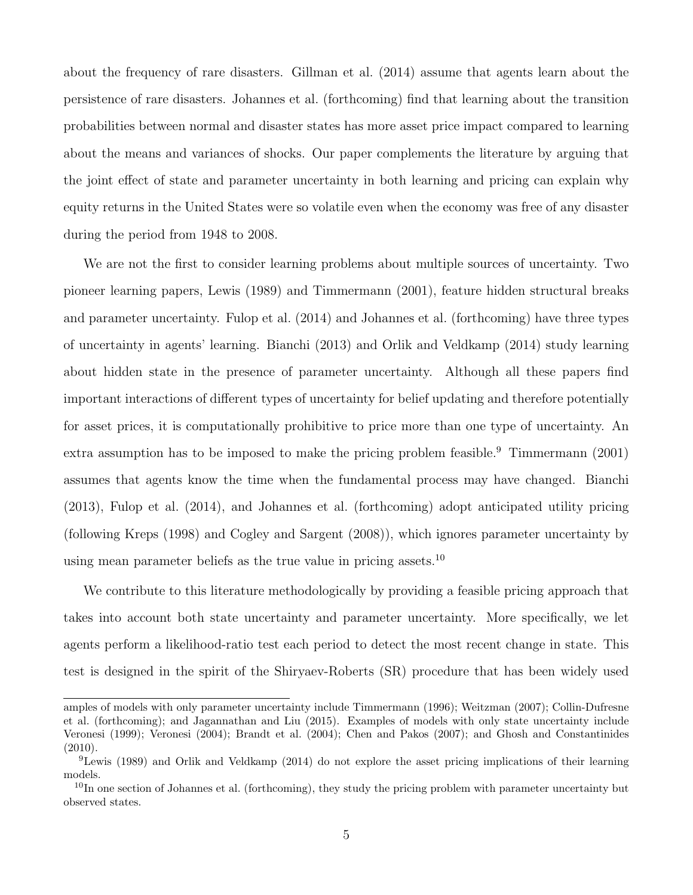about the frequency of rare disasters. Gillman et al. (2014) assume that agents learn about the persistence of rare disasters. Johannes et al. (forthcoming) find that learning about the transition probabilities between normal and disaster states has more asset price impact compared to learning about the means and variances of shocks. Our paper complements the literature by arguing that the joint effect of state and parameter uncertainty in both learning and pricing can explain why equity returns in the United States were so volatile even when the economy was free of any disaster during the period from 1948 to 2008.

We are not the first to consider learning problems about multiple sources of uncertainty. Two pioneer learning papers, Lewis (1989) and Timmermann (2001), feature hidden structural breaks and parameter uncertainty. Fulop et al. (2014) and Johannes et al. (forthcoming) have three types of uncertainty in agents' learning. Bianchi (2013) and Orlik and Veldkamp (2014) study learning about hidden state in the presence of parameter uncertainty. Although all these papers find important interactions of different types of uncertainty for belief updating and therefore potentially for asset prices, it is computationally prohibitive to price more than one type of uncertainty. An extra assumption has to be imposed to make the pricing problem feasible.<sup>9</sup> Timmermann  $(2001)$ assumes that agents know the time when the fundamental process may have changed. Bianchi (2013), Fulop et al. (2014), and Johannes et al. (forthcoming) adopt anticipated utility pricing (following Kreps (1998) and Cogley and Sargent (2008)), which ignores parameter uncertainty by using mean parameter beliefs as the true value in pricing assets.<sup>10</sup>

We contribute to this literature methodologically by providing a feasible pricing approach that takes into account both state uncertainty and parameter uncertainty. More specifically, we let agents perform a likelihood-ratio test each period to detect the most recent change in state. This test is designed in the spirit of the Shiryaev-Roberts (SR) procedure that has been widely used

amples of models with only parameter uncertainty include Timmermann (1996); Weitzman (2007); Collin-Dufresne et al. (forthcoming); and Jagannathan and Liu (2015). Examples of models with only state uncertainty include Veronesi (1999); Veronesi (2004); Brandt et al. (2004); Chen and Pakos (2007); and Ghosh and Constantinides (2010).

<sup>9</sup>Lewis (1989) and Orlik and Veldkamp (2014) do not explore the asset pricing implications of their learning models.

 $10$ In one section of Johannes et al. (forthcoming), they study the pricing problem with parameter uncertainty but observed states.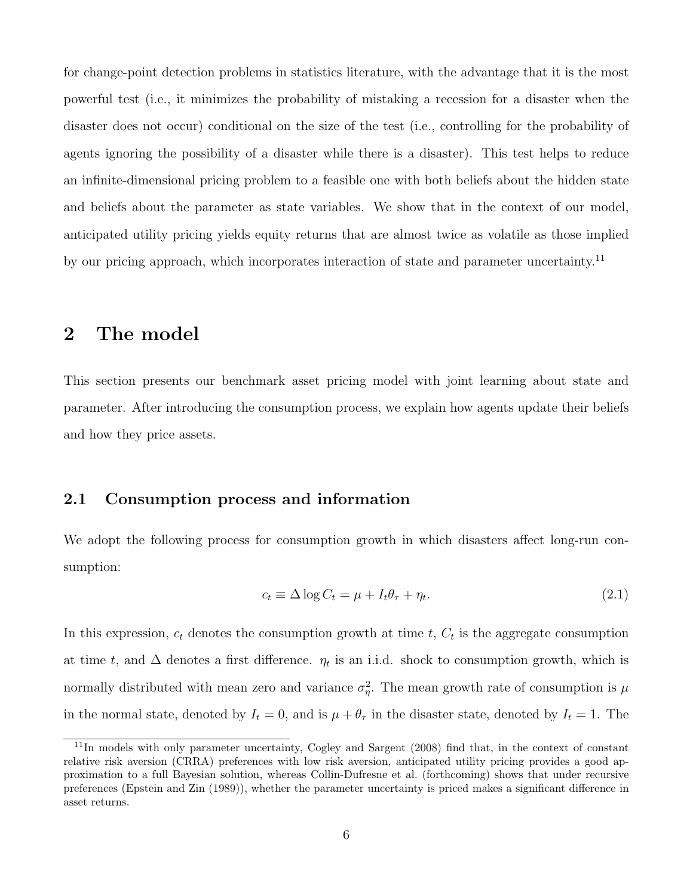for change-point detection problems in statistics literature, with the advantage that it is the most powerful test (i.e., it minimizes the probability of mistaking a recession for a disaster when the disaster does not occur) conditional on the size of the test (i.e., controlling for the probability of agents ignoring the possibility of a disaster while there is a disaster). This test helps to reduce an infinite-dimensional pricing problem to a feasible one with both beliefs about the hidden state and beliefs about the parameter as state variables. We show that in the context of our model, anticipated utility pricing yields equity returns that are almost twice as volatile as those implied by our pricing approach, which incorporates interaction of state and parameter uncertainty.<sup>11</sup>

# 2 The model

This section presents our benchmark asset pricing model with joint learning about state and parameter. After introducing the consumption process, we explain how agents update their beliefs and how they price assets.

## 2.1 Consumption process and information

We adopt the following process for consumption growth in which disasters affect long-run consumption:

$$
c_t \equiv \Delta \log C_t = \mu + I_t \theta_\tau + \eta_t. \tag{2.1}
$$

In this expression,  $c_t$  denotes the consumption growth at time t,  $C_t$  is the aggregate consumption at time t, and  $\Delta$  denotes a first difference.  $\eta_t$  is an i.i.d. shock to consumption growth, which is normally distributed with mean zero and variance  $\sigma_{\eta}^2$ . The mean growth rate of consumption is  $\mu$ in the normal state, denoted by  $I_t = 0$ , and is  $\mu + \theta_\tau$  in the disaster state, denoted by  $I_t = 1$ . The

<sup>&</sup>lt;sup>11</sup>In models with only parameter uncertainty, Cogley and Sargent (2008) find that, in the context of constant relative risk aversion (CRRA) preferences with low risk aversion, anticipated utility pricing provides a good approximation to a full Bayesian solution, whereas Collin-Dufresne et al. (forthcoming) shows that under recursive preferences (Epstein and Zin (1989)), whether the parameter uncertainty is priced makes a significant difference in asset returns.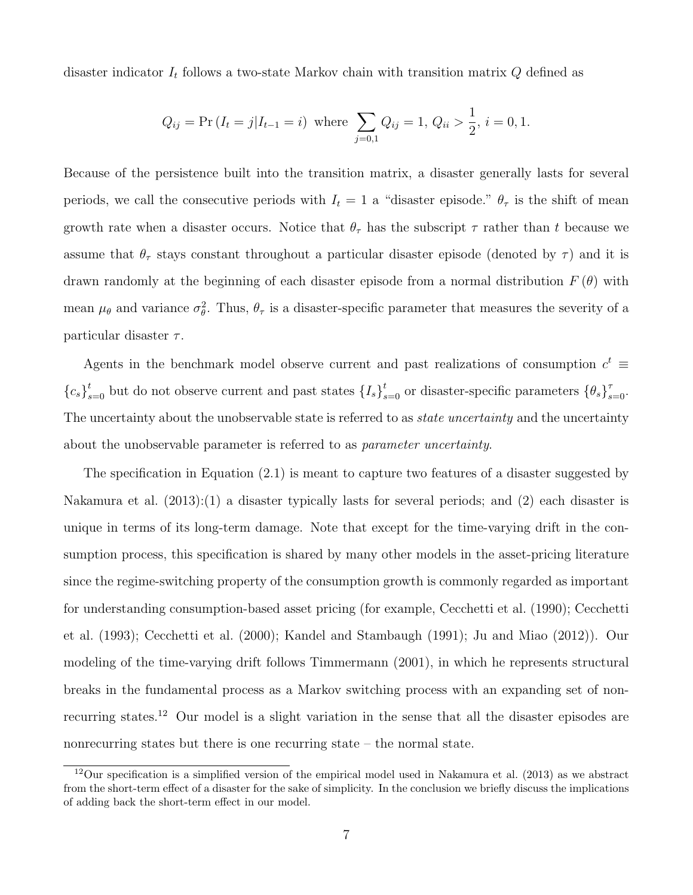disaster indicator  $I_t$  follows a two-state Markov chain with transition matrix  $Q$  defined as

$$
Q_{ij} = Pr(I_t = j | I_{t-1} = i)
$$
 where  $\sum_{j=0,1} Q_{ij} = 1, Q_{ii} > \frac{1}{2}, i = 0, 1.$ 

Because of the persistence built into the transition matrix, a disaster generally lasts for several periods, we call the consecutive periods with  $I_t = 1$  a "disaster episode."  $\theta_\tau$  is the shift of mean growth rate when a disaster occurs. Notice that  $\theta_{\tau}$  has the subscript  $\tau$  rather than t because we assume that  $\theta_{\tau}$  stays constant throughout a particular disaster episode (denoted by  $\tau$ ) and it is drawn randomly at the beginning of each disaster episode from a normal distribution  $F(\theta)$  with mean  $\mu_{\theta}$  and variance  $\sigma_{\theta}^2$ . Thus,  $\theta_{\tau}$  is a disaster-specific parameter that measures the severity of a particular disaster  $\tau$ .

Agents in the benchmark model observe current and past realizations of consumption  $c^t \equiv$  ${c_s}_{s=0}^t$  but do not observe current and past states  ${I_s}_{s=0}^t$  or disaster-specific parameters  ${\theta_s}_{s=0}^{\tau}$ . The uncertainty about the unobservable state is referred to as *state uncertainty* and the uncertainty about the unobservable parameter is referred to as parameter uncertainty.

The specification in Equation (2.1) is meant to capture two features of a disaster suggested by Nakamura et al. (2013):(1) a disaster typically lasts for several periods; and (2) each disaster is unique in terms of its long-term damage. Note that except for the time-varying drift in the consumption process, this specification is shared by many other models in the asset-pricing literature since the regime-switching property of the consumption growth is commonly regarded as important for understanding consumption-based asset pricing (for example, Cecchetti et al. (1990); Cecchetti et al. (1993); Cecchetti et al. (2000); Kandel and Stambaugh (1991); Ju and Miao (2012)). Our modeling of the time-varying drift follows Timmermann (2001), in which he represents structural breaks in the fundamental process as a Markov switching process with an expanding set of nonrecurring states.<sup>12</sup> Our model is a slight variation in the sense that all the disaster episodes are nonrecurring states but there is one recurring state – the normal state.

 $12$ Our specification is a simplified version of the empirical model used in Nakamura et al. (2013) as we abstract from the short-term effect of a disaster for the sake of simplicity. In the conclusion we briefly discuss the implications of adding back the short-term effect in our model.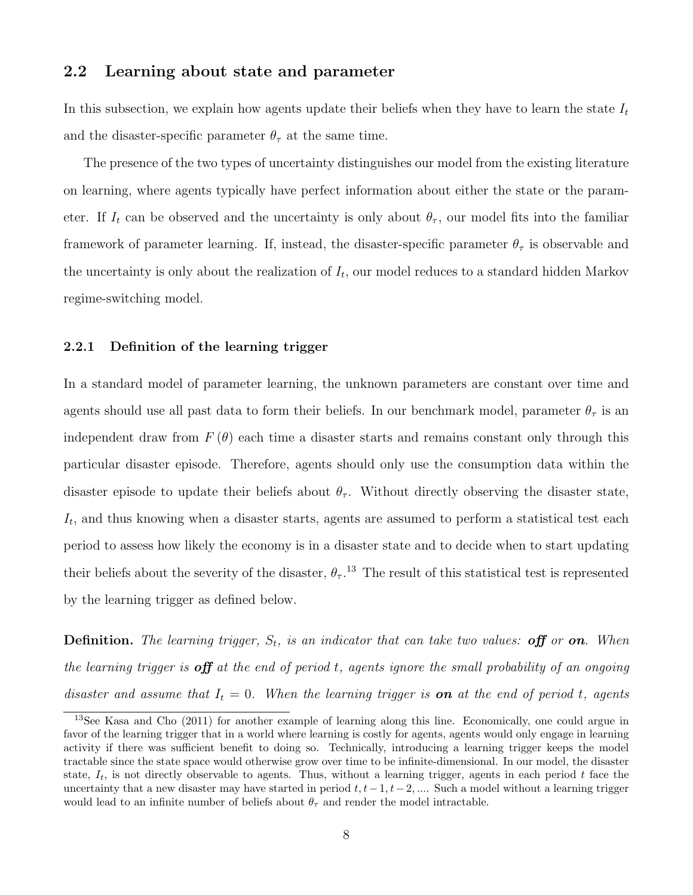## 2.2 Learning about state and parameter

In this subsection, we explain how agents update their beliefs when they have to learn the state  $I_t$ and the disaster-specific parameter  $\theta_{\tau}$  at the same time.

The presence of the two types of uncertainty distinguishes our model from the existing literature on learning, where agents typically have perfect information about either the state or the parameter. If  $I_t$  can be observed and the uncertainty is only about  $\theta_\tau$ , our model fits into the familiar framework of parameter learning. If, instead, the disaster-specific parameter  $\theta_{\tau}$  is observable and the uncertainty is only about the realization of  $I_t$ , our model reduces to a standard hidden Markov regime-switching model.

#### 2.2.1 Definition of the learning trigger

In a standard model of parameter learning, the unknown parameters are constant over time and agents should use all past data to form their beliefs. In our benchmark model, parameter  $\theta_{\tau}$  is an independent draw from  $F(\theta)$  each time a disaster starts and remains constant only through this particular disaster episode. Therefore, agents should only use the consumption data within the disaster episode to update their beliefs about  $\theta_{\tau}$ . Without directly observing the disaster state,  $I_t$ , and thus knowing when a disaster starts, agents are assumed to perform a statistical test each period to assess how likely the economy is in a disaster state and to decide when to start updating their beliefs about the severity of the disaster,  $\theta_{\tau}$ .<sup>13</sup> The result of this statistical test is represented by the learning trigger as defined below.

**Definition.** The learning trigger,  $S_t$ , is an indicator that can take two values: **off** or **on**. When the learning trigger is  $\text{off}$  at the end of period t, agents ignore the small probability of an ongoing disaster and assume that  $I_t = 0$ . When the learning trigger is **on** at the end of period t, agents

<sup>13</sup>See Kasa and Cho (2011) for another example of learning along this line. Economically, one could argue in favor of the learning trigger that in a world where learning is costly for agents, agents would only engage in learning activity if there was sufficient benefit to doing so. Technically, introducing a learning trigger keeps the model tractable since the state space would otherwise grow over time to be infinite-dimensional. In our model, the disaster state,  $I_t$ , is not directly observable to agents. Thus, without a learning trigger, agents in each period t face the uncertainty that a new disaster may have started in period  $t, t-1, t-2, \ldots$ . Such a model without a learning trigger would lead to an infinite number of beliefs about  $\theta_{\tau}$  and render the model intractable.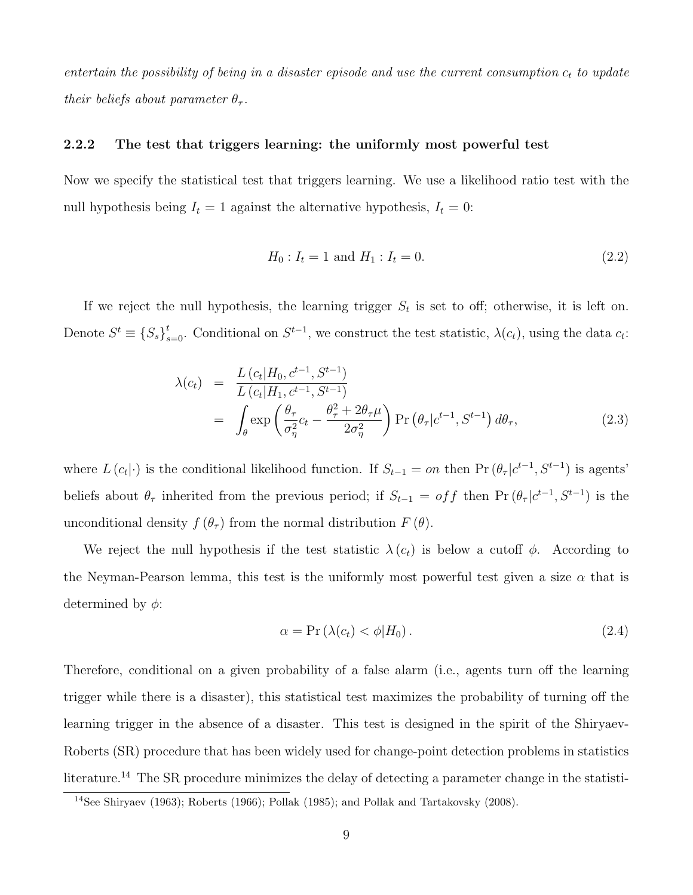entertain the possibility of being in a disaster episode and use the current consumption  $c_t$  to update their beliefs about parameter  $\theta_{\tau}$ .

#### 2.2.2 The test that triggers learning: the uniformly most powerful test

Now we specify the statistical test that triggers learning. We use a likelihood ratio test with the null hypothesis being  $I_t = 1$  against the alternative hypothesis,  $I_t = 0$ :

$$
H_0: I_t = 1 \text{ and } H_1: I_t = 0. \tag{2.2}
$$

If we reject the null hypothesis, the learning trigger  $S_t$  is set to off; otherwise, it is left on. Denote  $S^t \equiv \{S_s\}_{s=0}^t$ . Conditional on  $S^{t-1}$ , we construct the test statistic,  $\lambda(c_t)$ , using the data  $c_t$ :

$$
\lambda(c_t) = \frac{L(c_t|H_0, c^{t-1}, S^{t-1})}{L(c_t|H_1, c^{t-1}, S^{t-1})} \n= \int_{\theta} \exp\left(\frac{\theta_{\tau}}{\sigma_{\eta}^2}c_t - \frac{\theta_{\tau}^2 + 2\theta_{\tau}\mu}{2\sigma_{\eta}^2}\right) \Pr\left(\theta_{\tau}|c^{t-1}, S^{t-1}\right) d\theta_{\tau},
$$
\n(2.3)

where  $L(c_t|\cdot)$  is the conditional likelihood function. If  $S_{t-1} = on$  then  $Pr(\theta_{\tau} | c^{t-1}, S^{t-1})$  is agents' beliefs about  $\theta_{\tau}$  inherited from the previous period; if  $S_{t-1} = off$  then  $\Pr(\theta_{\tau} | c^{t-1}, S^{t-1})$  is the unconditional density  $f(\theta_\tau)$  from the normal distribution  $F(\theta)$ .

We reject the null hypothesis if the test statistic  $\lambda(c_t)$  is below a cutoff  $\phi$ . According to the Neyman-Pearson lemma, this test is the uniformly most powerful test given a size  $\alpha$  that is determined by  $\phi$ :

$$
\alpha = \Pr\left(\lambda(c_t) < \phi|H_0\right). \tag{2.4}
$$

Therefore, conditional on a given probability of a false alarm (i.e., agents turn off the learning trigger while there is a disaster), this statistical test maximizes the probability of turning off the learning trigger in the absence of a disaster. This test is designed in the spirit of the Shiryaev-Roberts (SR) procedure that has been widely used for change-point detection problems in statistics literature.<sup>14</sup> The SR procedure minimizes the delay of detecting a parameter change in the statisti-

<sup>&</sup>lt;sup>14</sup>See Shiryaev (1963); Roberts (1966); Pollak (1985); and Pollak and Tartakovsky (2008).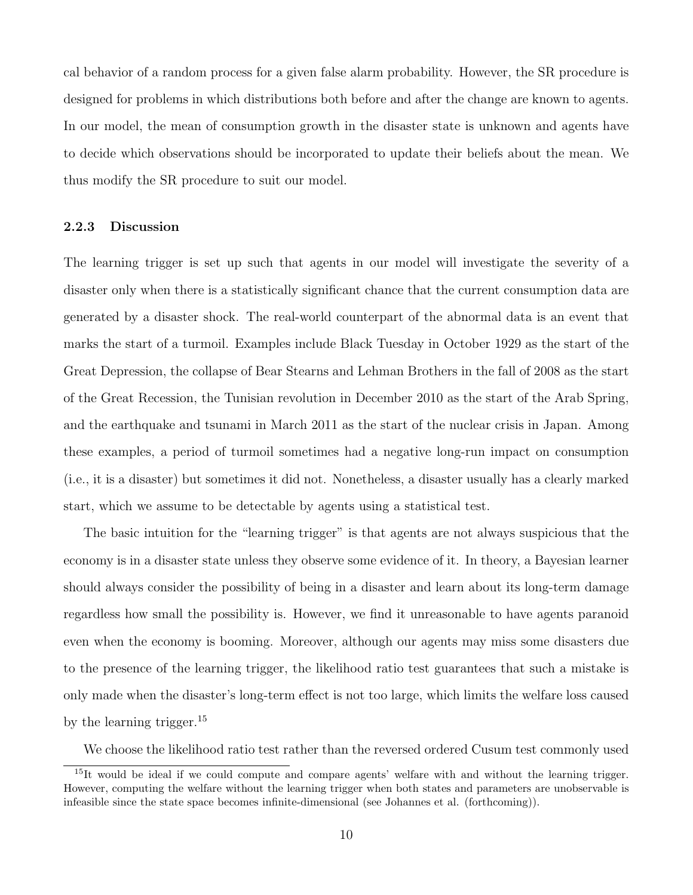cal behavior of a random process for a given false alarm probability. However, the SR procedure is designed for problems in which distributions both before and after the change are known to agents. In our model, the mean of consumption growth in the disaster state is unknown and agents have to decide which observations should be incorporated to update their beliefs about the mean. We thus modify the SR procedure to suit our model.

#### 2.2.3 Discussion

The learning trigger is set up such that agents in our model will investigate the severity of a disaster only when there is a statistically significant chance that the current consumption data are generated by a disaster shock. The real-world counterpart of the abnormal data is an event that marks the start of a turmoil. Examples include Black Tuesday in October 1929 as the start of the Great Depression, the collapse of Bear Stearns and Lehman Brothers in the fall of 2008 as the start of the Great Recession, the Tunisian revolution in December 2010 as the start of the Arab Spring, and the earthquake and tsunami in March 2011 as the start of the nuclear crisis in Japan. Among these examples, a period of turmoil sometimes had a negative long-run impact on consumption (i.e., it is a disaster) but sometimes it did not. Nonetheless, a disaster usually has a clearly marked start, which we assume to be detectable by agents using a statistical test.

The basic intuition for the "learning trigger" is that agents are not always suspicious that the economy is in a disaster state unless they observe some evidence of it. In theory, a Bayesian learner should always consider the possibility of being in a disaster and learn about its long-term damage regardless how small the possibility is. However, we find it unreasonable to have agents paranoid even when the economy is booming. Moreover, although our agents may miss some disasters due to the presence of the learning trigger, the likelihood ratio test guarantees that such a mistake is only made when the disaster's long-term effect is not too large, which limits the welfare loss caused by the learning trigger.<sup>15</sup>

We choose the likelihood ratio test rather than the reversed ordered Cusum test commonly used

<sup>&</sup>lt;sup>15</sup>It would be ideal if we could compute and compare agents' welfare with and without the learning trigger. However, computing the welfare without the learning trigger when both states and parameters are unobservable is infeasible since the state space becomes infinite-dimensional (see Johannes et al. (forthcoming)).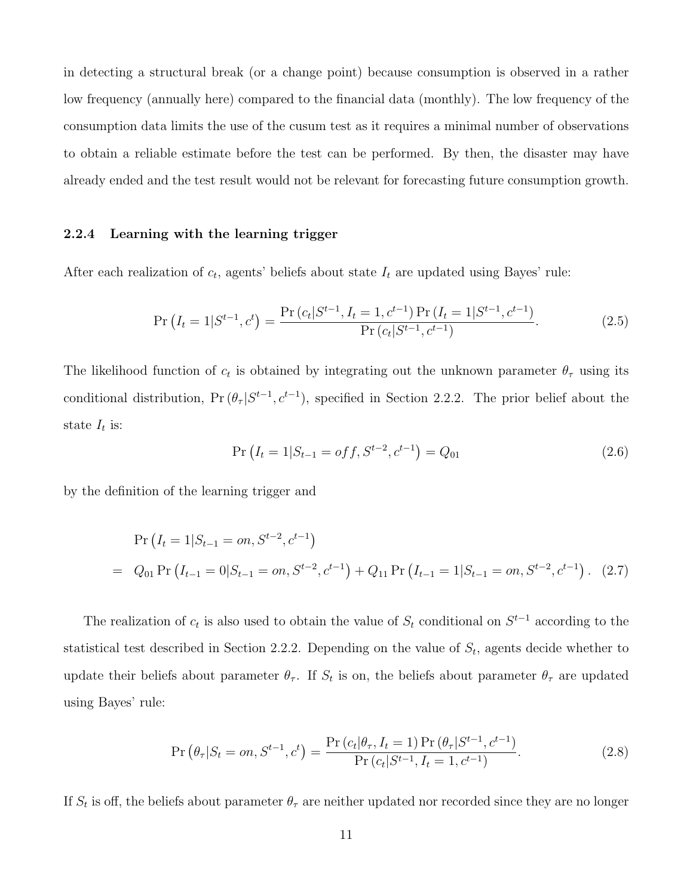in detecting a structural break (or a change point) because consumption is observed in a rather low frequency (annually here) compared to the financial data (monthly). The low frequency of the consumption data limits the use of the cusum test as it requires a minimal number of observations to obtain a reliable estimate before the test can be performed. By then, the disaster may have already ended and the test result would not be relevant for forecasting future consumption growth.

#### 2.2.4 Learning with the learning trigger

After each realization of  $c_t$ , agents' beliefs about state  $I_t$  are updated using Bayes' rule:

$$
\Pr\left(I_t = 1|S^{t-1}, c^t\right) = \frac{\Pr\left(c_t|S^{t-1}, I_t = 1, c^{t-1}\right) \Pr\left(I_t = 1|S^{t-1}, c^{t-1}\right)}{\Pr\left(c_t|S^{t-1}, c^{t-1}\right)}.\tag{2.5}
$$

The likelihood function of  $c_t$  is obtained by integrating out the unknown parameter  $\theta_{\tau}$  using its conditional distribution,  $Pr(\theta_{\tau} | S^{t-1}, c^{t-1})$ , specified in Section 2.2.2. The prior belief about the state  $I_t$  is:

$$
Pr(I_t = 1|S_{t-1} = off, S^{t-2}, c^{t-1}) = Q_{01}
$$
\n(2.6)

by the definition of the learning trigger and

$$
\Pr(I_t = 1 | S_{t-1} = on, S^{t-2}, c^{t-1})
$$
\n
$$
= Q_{01} \Pr(I_{t-1} = 0 | S_{t-1} = on, S^{t-2}, c^{t-1}) + Q_{11} \Pr(I_{t-1} = 1 | S_{t-1} = on, S^{t-2}, c^{t-1}). \quad (2.7)
$$

The realization of  $c_t$  is also used to obtain the value of  $S_t$  conditional on  $S^{t-1}$  according to the statistical test described in Section 2.2.2. Depending on the value of  $S_t$ , agents decide whether to update their beliefs about parameter  $\theta_{\tau}$ . If  $S_t$  is on, the beliefs about parameter  $\theta_{\tau}$  are updated using Bayes' rule:

$$
\Pr\left(\theta_{\tau}|S_t = on, S^{t-1}, c^t\right) = \frac{\Pr\left(c_t|\theta_{\tau}, I_t = 1\right)\Pr\left(\theta_{\tau}|S^{t-1}, c^{t-1}\right)}{\Pr\left(c_t|S^{t-1}, I_t = 1, c^{t-1}\right)}.\tag{2.8}
$$

If  $S_t$  is off, the beliefs about parameter  $\theta_{\tau}$  are neither updated nor recorded since they are no longer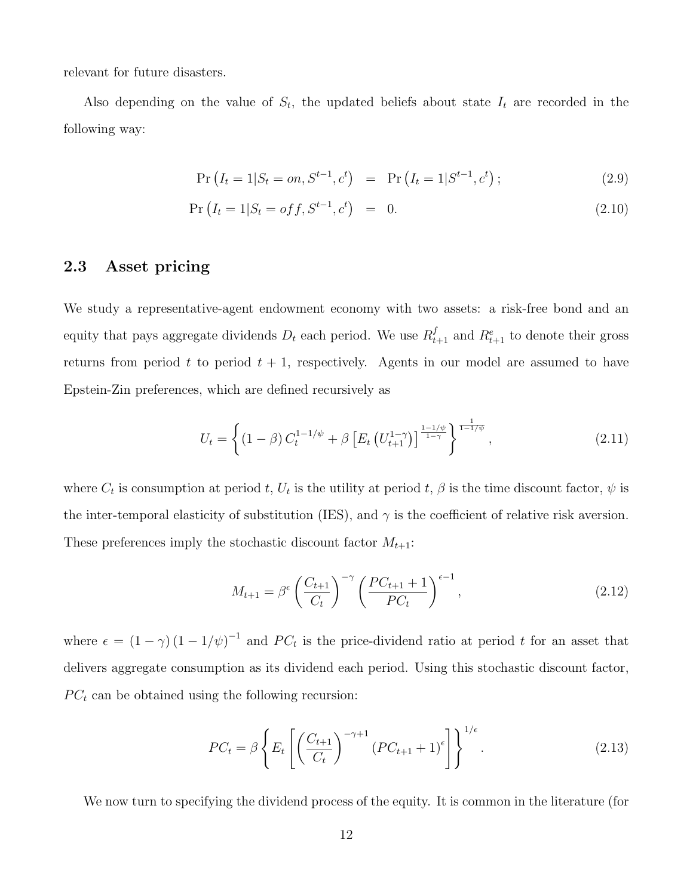relevant for future disasters.

Also depending on the value of  $S_t$ , the updated beliefs about state  $I_t$  are recorded in the following way:

$$
Pr(I_t = 1|S_t = on, S^{t-1}, c^t) = Pr(I_t = 1|S^{t-1}, c^t);
$$
\n(2.9)

$$
Pr(I_t = 1|S_t = off, S^{t-1}, c^t) = 0.
$$
\n(2.10)

## 2.3 Asset pricing

We study a representative-agent endowment economy with two assets: a risk-free bond and an equity that pays aggregate dividends  $D_t$  each period. We use  $R_{t+1}^f$  and  $R_{t+1}^e$  to denote their gross returns from period  $t$  to period  $t + 1$ , respectively. Agents in our model are assumed to have Epstein-Zin preferences, which are defined recursively as

$$
U_t = \left\{ \left(1 - \beta\right) C_t^{1 - 1/\psi} + \beta \left[E_t \left(U_{t+1}^{1 - \gamma}\right)\right]^{\frac{1 - 1/\psi}{1 - \gamma}} \right\}^{\frac{1}{1 - 1/\psi}},\tag{2.11}
$$

where  $C_t$  is consumption at period t,  $U_t$  is the utility at period t,  $\beta$  is the time discount factor,  $\psi$  is the inter-temporal elasticity of substitution (IES), and  $\gamma$  is the coefficient of relative risk aversion. These preferences imply the stochastic discount factor  $M_{t+1}$ :

$$
M_{t+1} = \beta^{\epsilon} \left(\frac{C_{t+1}}{C_t}\right)^{-\gamma} \left(\frac{P C_{t+1} + 1}{P C_t}\right)^{\epsilon - 1},\tag{2.12}
$$

where  $\epsilon = (1 - \gamma)(1 - 1/\psi)^{-1}$  and  $PC_t$  is the price-dividend ratio at period t for an asset that delivers aggregate consumption as its dividend each period. Using this stochastic discount factor,  $PC<sub>t</sub>$  can be obtained using the following recursion:

$$
PC_t = \beta \left\{ E_t \left[ \left( \frac{C_{t+1}}{C_t} \right)^{-\gamma+1} (PC_{t+1} + 1)^{\epsilon} \right] \right\}^{1/\epsilon}.
$$
 (2.13)

We now turn to specifying the dividend process of the equity. It is common in the literature (for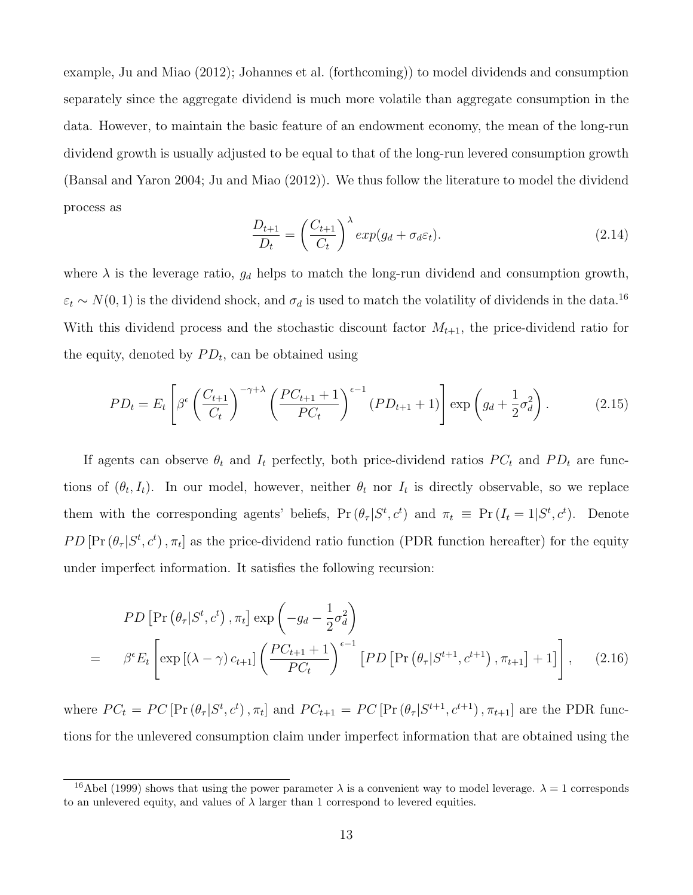example, Ju and Miao (2012); Johannes et al. (forthcoming)) to model dividends and consumption separately since the aggregate dividend is much more volatile than aggregate consumption in the data. However, to maintain the basic feature of an endowment economy, the mean of the long-run dividend growth is usually adjusted to be equal to that of the long-run levered consumption growth (Bansal and Yaron 2004; Ju and Miao (2012)). We thus follow the literature to model the dividend process as

$$
\frac{D_{t+1}}{D_t} = \left(\frac{C_{t+1}}{C_t}\right)^{\lambda} exp(g_d + \sigma_d \varepsilon_t).
$$
\n(2.14)

where  $\lambda$  is the leverage ratio,  $g_d$  helps to match the long-run dividend and consumption growth,  $\varepsilon_t \sim N(0, 1)$  is the dividend shock, and  $\sigma_d$  is used to match the volatility of dividends in the data.<sup>16</sup> With this dividend process and the stochastic discount factor  $M_{t+1}$ , the price-dividend ratio for the equity, denoted by  $PD_t$ , can be obtained using

$$
PD_{t} = E_{t} \left[ \beta^{\epsilon} \left( \frac{C_{t+1}}{C_{t}} \right)^{-\gamma + \lambda} \left( \frac{PC_{t+1} + 1}{PC_{t}} \right)^{\epsilon - 1} (PD_{t+1} + 1) \right] \exp\left(g_{d} + \frac{1}{2} \sigma_{d}^{2}\right). \tag{2.15}
$$

If agents can observe  $\theta_t$  and  $I_t$  perfectly, both price-dividend ratios  $PC_t$  and  $PD_t$  are functions of  $(\theta_t, I_t)$ . In our model, however, neither  $\theta_t$  nor  $I_t$  is directly observable, so we replace them with the corresponding agents' beliefs,  $Pr(\theta_{\tau} | S^t, c^t)$  and  $\pi_t \equiv Pr(I_t = 1 | S^t, c^t)$ . Denote PD  $[\Pr(\theta_{\tau} | S^t, c^t), \pi_t]$  as the price-dividend ratio function (PDR function hereafter) for the equity under imperfect information. It satisfies the following recursion:

$$
PD\left[\Pr\left(\theta_{\tau}|S^{t},c^{t}\right),\pi_{t}\right]\exp\left(-g_{d}-\frac{1}{2}\sigma_{d}^{2}\right)
$$
\n
$$
=\beta^{e}E_{t}\left[\exp\left[(\lambda-\gamma)c_{t+1}\right]\left(\frac{PC_{t+1}+1}{PC_{t}}\right)^{\epsilon-1}\left[PD\left[\Pr\left(\theta_{\tau}|S^{t+1},c^{t+1}\right),\pi_{t+1}\right]+1\right]\right],\qquad(2.16)
$$

where  $PC_t = PC$  [Pr  $(\theta_\tau | S^t, c^t)$ ,  $\pi_t$ ] and  $PC_{t+1} = PC$  [Pr  $(\theta_\tau | S^{t+1}, c^{t+1})$ ,  $\pi_{t+1}$ ] are the PDR functions for the unlevered consumption claim under imperfect information that are obtained using the

<sup>&</sup>lt;sup>16</sup>Abel (1999) shows that using the power parameter  $\lambda$  is a convenient way to model leverage.  $\lambda = 1$  corresponds to an unlevered equity, and values of  $\lambda$  larger than 1 correspond to levered equities.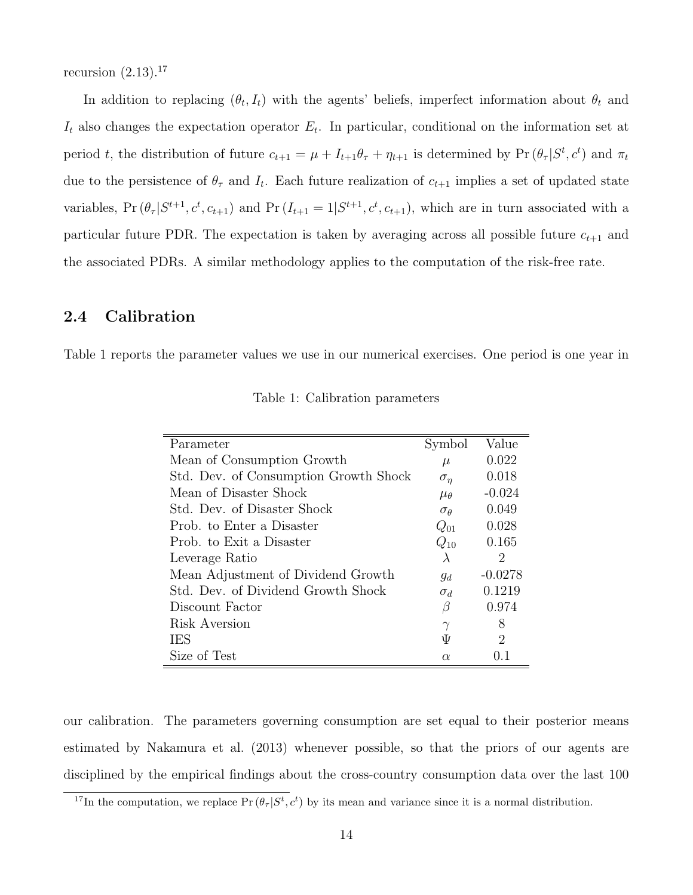recursion  $(2.13).<sup>17</sup>$ 

In addition to replacing  $(\theta_t, I_t)$  with the agents' beliefs, imperfect information about  $\theta_t$  and  $I_t$  also changes the expectation operator  $E_t$ . In particular, conditional on the information set at period t, the distribution of future  $c_{t+1} = \mu + I_{t+1}\theta_\tau + \eta_{t+1}$  is determined by  $Pr(\theta_\tau | S^t, c^t)$  and  $\pi_t$ due to the persistence of  $\theta_{\tau}$  and  $I_t$ . Each future realization of  $c_{t+1}$  implies a set of updated state variables,  $Pr(\theta_{\tau} | S^{t+1}, c^t, c_{t+1})$  and  $Pr(I_{t+1} = 1 | S^{t+1}, c^t, c_{t+1})$ , which are in turn associated with a particular future PDR. The expectation is taken by averaging across all possible future  $c_{t+1}$  and the associated PDRs. A similar methodology applies to the computation of the risk-free rate.

## 2.4 Calibration

Table 1 reports the parameter values we use in our numerical exercises. One period is one year in

| Parameter                             | Symbol            | Value     |
|---------------------------------------|-------------------|-----------|
| Mean of Consumption Growth            | $\mu$             | 0.022     |
| Std. Dev. of Consumption Growth Shock | $\sigma_{\eta}$   | 0.018     |
| Mean of Disaster Shock                | $\mu_{\theta}$    | $-0.024$  |
| Std. Dev. of Disaster Shock           | $\sigma_{\theta}$ | 0.049     |
| Prob. to Enter a Disaster             | $Q_{01}$          | 0.028     |
| Prob. to Exit a Disaster              | $Q_{10}$          | 0.165     |
| Leverage Ratio                        | $\lambda$         | 2         |
| Mean Adjustment of Dividend Growth    | $q_d$             | $-0.0278$ |
| Std. Dev. of Dividend Growth Shock    | $\sigma_d$        | 0.1219    |
| Discount Factor                       | β                 | 0.974     |
| Risk Aversion                         | $\gamma$          | 8         |
| <b>IES</b>                            | Ψ                 | 2         |
| Size of Test                          | $\alpha$          | (0.1)     |

Table 1: Calibration parameters

our calibration. The parameters governing consumption are set equal to their posterior means estimated by Nakamura et al. (2013) whenever possible, so that the priors of our agents are disciplined by the empirical findings about the cross-country consumption data over the last 100

<sup>&</sup>lt;sup>17</sup>In the computation, we replace  $Pr(\theta_{\tau} | S^t, c^t)$  by its mean and variance since it is a normal distribution.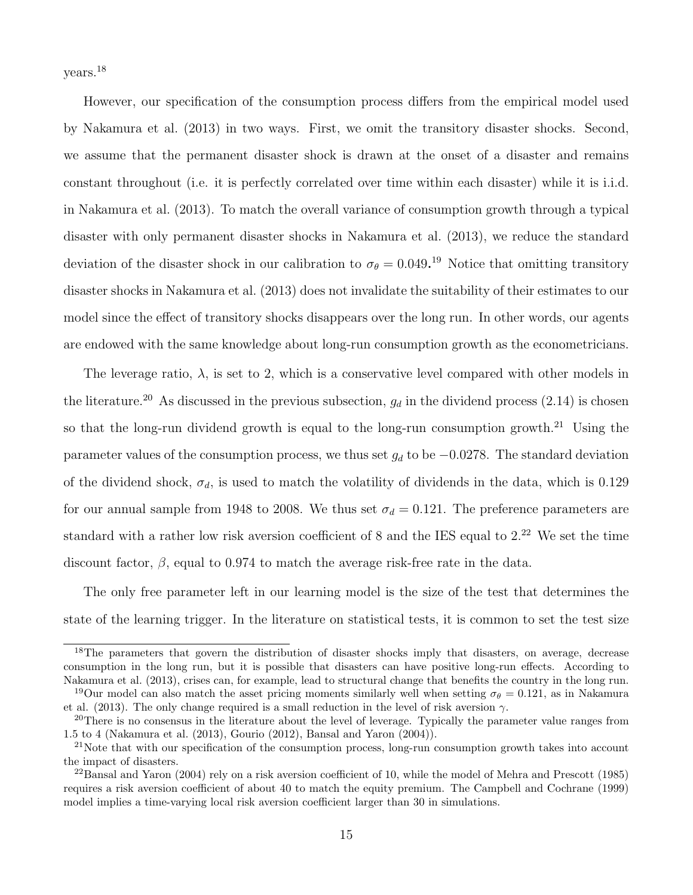years.<sup>18</sup>

However, our specification of the consumption process differs from the empirical model used by Nakamura et al. (2013) in two ways. First, we omit the transitory disaster shocks. Second, we assume that the permanent disaster shock is drawn at the onset of a disaster and remains constant throughout (i.e. it is perfectly correlated over time within each disaster) while it is i.i.d. in Nakamura et al. (2013). To match the overall variance of consumption growth through a typical disaster with only permanent disaster shocks in Nakamura et al. (2013), we reduce the standard deviation of the disaster shock in our calibration to  $\sigma_{\theta} = 0.049$ <sup>19</sup>. Notice that omitting transitory disaster shocks in Nakamura et al. (2013) does not invalidate the suitability of their estimates to our model since the effect of transitory shocks disappears over the long run. In other words, our agents are endowed with the same knowledge about long-run consumption growth as the econometricians.

The leverage ratio,  $\lambda$ , is set to 2, which is a conservative level compared with other models in the literature.<sup>20</sup> As discussed in the previous subsection,  $g_d$  in the dividend process (2.14) is chosen so that the long-run dividend growth is equal to the long-run consumption growth.<sup>21</sup> Using the parameter values of the consumption process, we thus set  $g_d$  to be  $-0.0278$ . The standard deviation of the dividend shock,  $\sigma_d$ , is used to match the volatility of dividends in the data, which is 0.129 for our annual sample from 1948 to 2008. We thus set  $\sigma_d = 0.121$ . The preference parameters are standard with a rather low risk aversion coefficient of 8 and the IES equal to  $2.22$  We set the time discount factor,  $\beta$ , equal to 0.974 to match the average risk-free rate in the data.

The only free parameter left in our learning model is the size of the test that determines the state of the learning trigger. In the literature on statistical tests, it is common to set the test size

<sup>&</sup>lt;sup>18</sup>The parameters that govern the distribution of disaster shocks imply that disasters, on average, decrease consumption in the long run, but it is possible that disasters can have positive long-run effects. According to Nakamura et al. (2013), crises can, for example, lead to structural change that benefits the country in the long run. <sup>19</sup>Our model can also match the asset pricing moments similarly well when setting  $\sigma_{\theta} = 0.121$ , as in Nakamura

et al. (2013). The only change required is a small reduction in the level of risk aversion  $\gamma$ . <sup>20</sup>There is no consensus in the literature about the level of leverage. Typically the parameter value ranges from

<sup>1.5</sup> to 4 (Nakamura et al. (2013), Gourio (2012), Bansal and Yaron (2004)).

<sup>&</sup>lt;sup>21</sup>Note that with our specification of the consumption process, long-run consumption growth takes into account the impact of disasters.

 $^{22}$ Bansal and Yaron (2004) rely on a risk aversion coefficient of 10, while the model of Mehra and Prescott (1985) requires a risk aversion coefficient of about 40 to match the equity premium. The Campbell and Cochrane (1999) model implies a time-varying local risk aversion coefficient larger than 30 in simulations.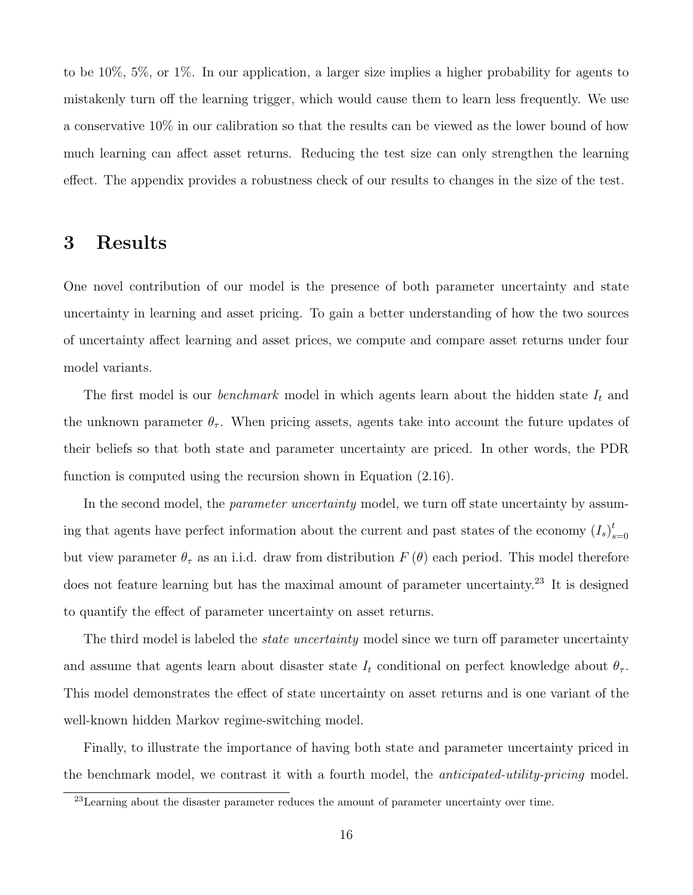to be 10%, 5%, or 1%. In our application, a larger size implies a higher probability for agents to mistakenly turn off the learning trigger, which would cause them to learn less frequently. We use a conservative 10% in our calibration so that the results can be viewed as the lower bound of how much learning can affect asset returns. Reducing the test size can only strengthen the learning effect. The appendix provides a robustness check of our results to changes in the size of the test.

# 3 Results

One novel contribution of our model is the presence of both parameter uncertainty and state uncertainty in learning and asset pricing. To gain a better understanding of how the two sources of uncertainty affect learning and asset prices, we compute and compare asset returns under four model variants.

The first model is our *benchmark* model in which agents learn about the hidden state  $I_t$  and the unknown parameter  $\theta_{\tau}$ . When pricing assets, agents take into account the future updates of their beliefs so that both state and parameter uncertainty are priced. In other words, the PDR function is computed using the recursion shown in Equation (2.16).

In the second model, the *parameter uncertainty* model, we turn off state uncertainty by assuming that agents have perfect information about the current and past states of the economy  $(I_s)^t_s$  $s=0$ but view parameter  $\theta_{\tau}$  as an i.i.d. draw from distribution  $F(\theta)$  each period. This model therefore does not feature learning but has the maximal amount of parameter uncertainty.<sup>23</sup> It is designed to quantify the effect of parameter uncertainty on asset returns.

The third model is labeled the *state uncertainty* model since we turn off parameter uncertainty and assume that agents learn about disaster state  $I_t$  conditional on perfect knowledge about  $\theta_{\tau}$ . This model demonstrates the effect of state uncertainty on asset returns and is one variant of the well-known hidden Markov regime-switching model.

Finally, to illustrate the importance of having both state and parameter uncertainty priced in the benchmark model, we contrast it with a fourth model, the *anticipated-utility-pricing* model.

 $^{23}$  Learning about the disaster parameter reduces the amount of parameter uncertainty over time.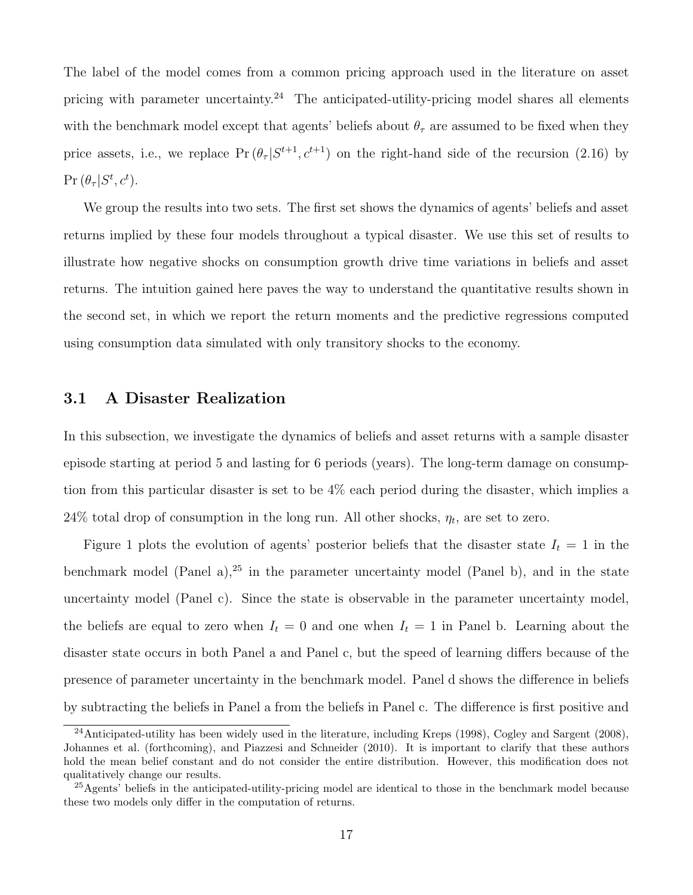The label of the model comes from a common pricing approach used in the literature on asset pricing with parameter uncertainty.<sup>24</sup> The anticipated-utility-pricing model shares all elements with the benchmark model except that agents' beliefs about  $\theta_{\tau}$  are assumed to be fixed when they price assets, i.e., we replace  $Pr(\theta_{\tau} | S^{t+1}, c^{t+1})$  on the right-hand side of the recursion (2.16) by  $\Pr(\theta_{\tau} | S^t, c^t).$ 

We group the results into two sets. The first set shows the dynamics of agents' beliefs and asset returns implied by these four models throughout a typical disaster. We use this set of results to illustrate how negative shocks on consumption growth drive time variations in beliefs and asset returns. The intuition gained here paves the way to understand the quantitative results shown in the second set, in which we report the return moments and the predictive regressions computed using consumption data simulated with only transitory shocks to the economy.

## 3.1 A Disaster Realization

In this subsection, we investigate the dynamics of beliefs and asset returns with a sample disaster episode starting at period 5 and lasting for 6 periods (years). The long-term damage on consumption from this particular disaster is set to be 4% each period during the disaster, which implies a  $24\%$  total drop of consumption in the long run. All other shocks,  $\eta_t$ , are set to zero.

Figure 1 plots the evolution of agents' posterior beliefs that the disaster state  $I_t = 1$  in the benchmark model (Panel a),<sup>25</sup> in the parameter uncertainty model (Panel b), and in the state uncertainty model (Panel c). Since the state is observable in the parameter uncertainty model, the beliefs are equal to zero when  $I_t = 0$  and one when  $I_t = 1$  in Panel b. Learning about the disaster state occurs in both Panel a and Panel c, but the speed of learning differs because of the presence of parameter uncertainty in the benchmark model. Panel d shows the difference in beliefs by subtracting the beliefs in Panel a from the beliefs in Panel c. The difference is first positive and

 $^{24}$ Anticipated-utility has been widely used in the literature, including Kreps (1998), Cogley and Sargent (2008), Johannes et al. (forthcoming), and Piazzesi and Schneider (2010). It is important to clarify that these authors hold the mean belief constant and do not consider the entire distribution. However, this modification does not qualitatively change our results.

<sup>&</sup>lt;sup>25</sup>Agents' beliefs in the anticipated-utility-pricing model are identical to those in the benchmark model because these two models only differ in the computation of returns.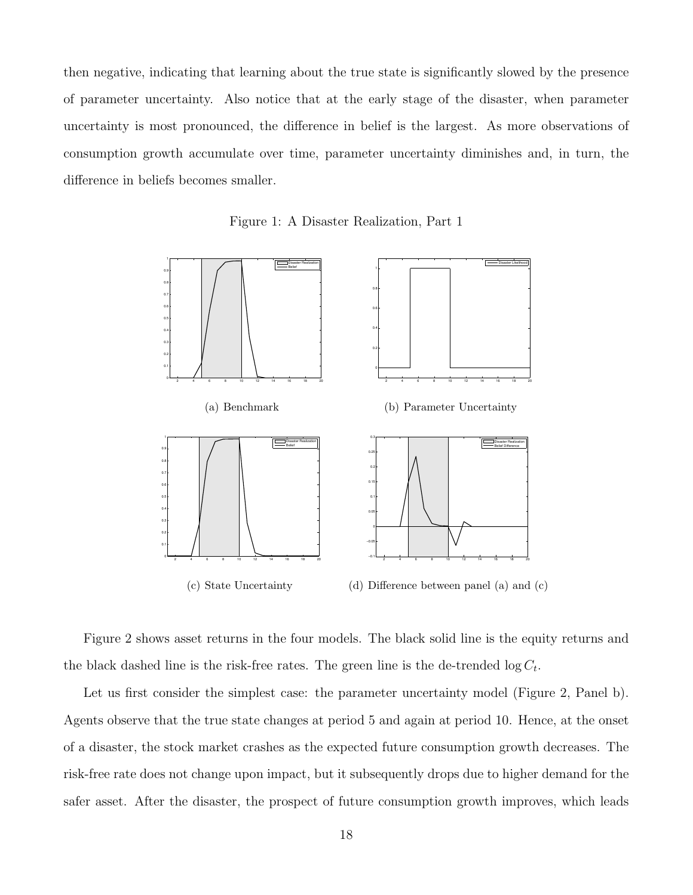then negative, indicating that learning about the true state is significantly slowed by the presence of parameter uncertainty. Also notice that at the early stage of the disaster, when parameter uncertainty is most pronounced, the difference in belief is the largest. As more observations of consumption growth accumulate over time, parameter uncertainty diminishes and, in turn, the difference in beliefs becomes smaller.





Figure 2 shows asset returns in the four models. The black solid line is the equity returns and the black dashed line is the risk-free rates. The green line is the de-trended  $\log C_t$ .

Let us first consider the simplest case: the parameter uncertainty model (Figure 2, Panel b). Agents observe that the true state changes at period 5 and again at period 10. Hence, at the onset of a disaster, the stock market crashes as the expected future consumption growth decreases. The risk-free rate does not change upon impact, but it subsequently drops due to higher demand for the safer asset. After the disaster, the prospect of future consumption growth improves, which leads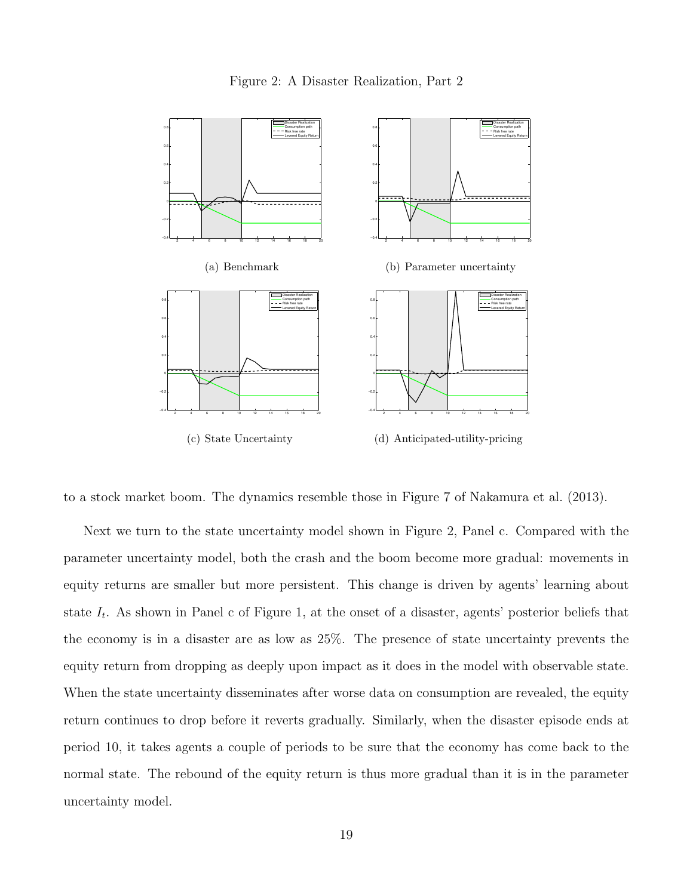



(c) State Uncertainty

(d) Anticipated-utility-pricing

to a stock market boom. The dynamics resemble those in Figure 7 of Nakamura et al. (2013).

Next we turn to the state uncertainty model shown in Figure 2, Panel c. Compared with the parameter uncertainty model, both the crash and the boom become more gradual: movements in equity returns are smaller but more persistent. This change is driven by agents' learning about state  $I_t$ . As shown in Panel c of Figure 1, at the onset of a disaster, agents' posterior beliefs that the economy is in a disaster are as low as 25%. The presence of state uncertainty prevents the equity return from dropping as deeply upon impact as it does in the model with observable state. When the state uncertainty disseminates after worse data on consumption are revealed, the equity return continues to drop before it reverts gradually. Similarly, when the disaster episode ends at period 10, it takes agents a couple of periods to be sure that the economy has come back to the normal state. The rebound of the equity return is thus more gradual than it is in the parameter uncertainty model.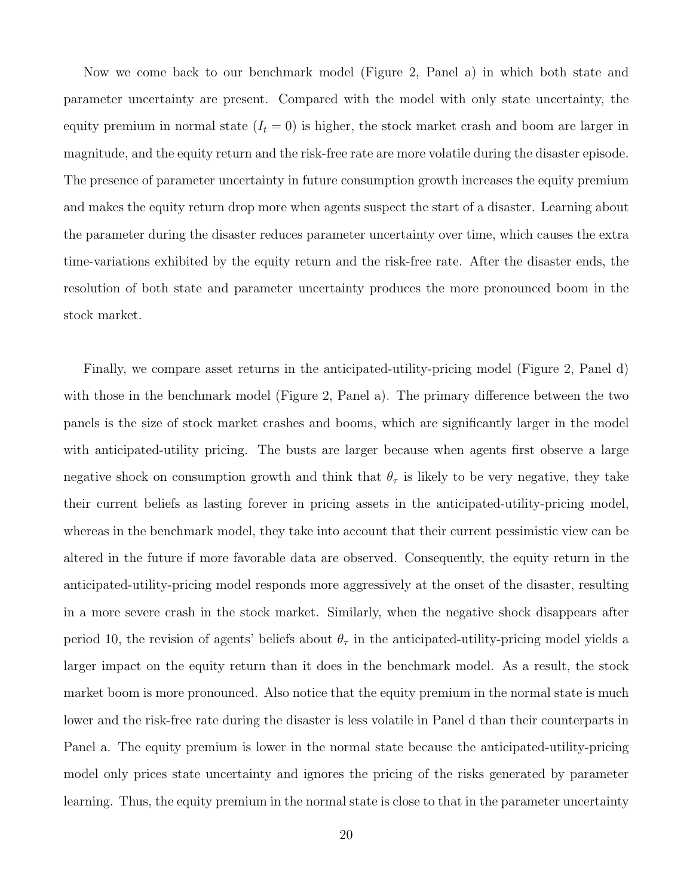Now we come back to our benchmark model (Figure 2, Panel a) in which both state and parameter uncertainty are present. Compared with the model with only state uncertainty, the equity premium in normal state  $(I_t = 0)$  is higher, the stock market crash and boom are larger in magnitude, and the equity return and the risk-free rate are more volatile during the disaster episode. The presence of parameter uncertainty in future consumption growth increases the equity premium and makes the equity return drop more when agents suspect the start of a disaster. Learning about the parameter during the disaster reduces parameter uncertainty over time, which causes the extra time-variations exhibited by the equity return and the risk-free rate. After the disaster ends, the resolution of both state and parameter uncertainty produces the more pronounced boom in the stock market.

Finally, we compare asset returns in the anticipated-utility-pricing model (Figure 2, Panel d) with those in the benchmark model (Figure 2, Panel a). The primary difference between the two panels is the size of stock market crashes and booms, which are significantly larger in the model with anticipated-utility pricing. The busts are larger because when agents first observe a large negative shock on consumption growth and think that  $\theta_{\tau}$  is likely to be very negative, they take their current beliefs as lasting forever in pricing assets in the anticipated-utility-pricing model, whereas in the benchmark model, they take into account that their current pessimistic view can be altered in the future if more favorable data are observed. Consequently, the equity return in the anticipated-utility-pricing model responds more aggressively at the onset of the disaster, resulting in a more severe crash in the stock market. Similarly, when the negative shock disappears after period 10, the revision of agents' beliefs about  $\theta_{\tau}$  in the anticipated-utility-pricing model yields a larger impact on the equity return than it does in the benchmark model. As a result, the stock market boom is more pronounced. Also notice that the equity premium in the normal state is much lower and the risk-free rate during the disaster is less volatile in Panel d than their counterparts in Panel a. The equity premium is lower in the normal state because the anticipated-utility-pricing model only prices state uncertainty and ignores the pricing of the risks generated by parameter learning. Thus, the equity premium in the normal state is close to that in the parameter uncertainty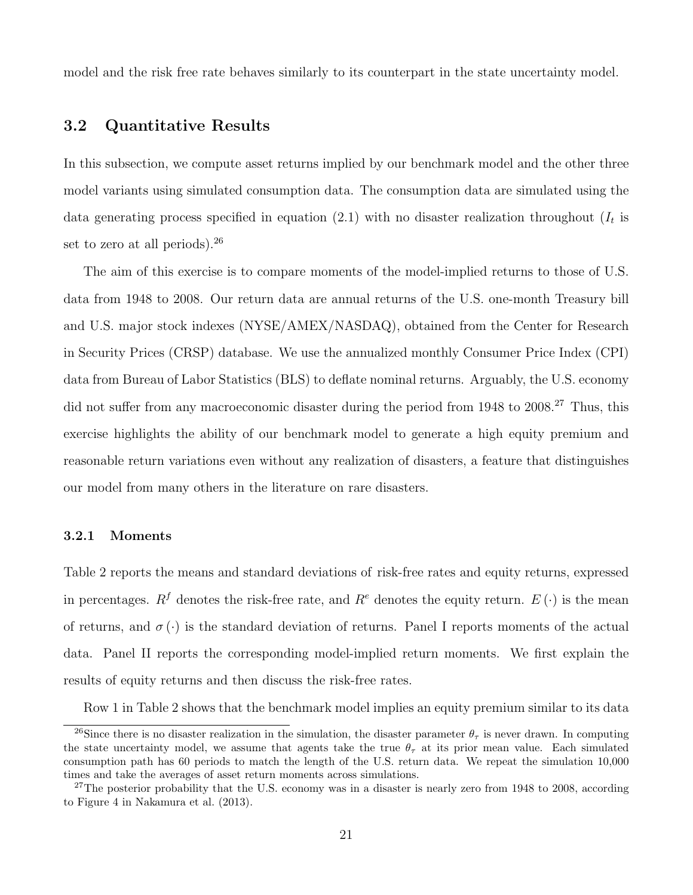model and the risk free rate behaves similarly to its counterpart in the state uncertainty model.

## 3.2 Quantitative Results

In this subsection, we compute asset returns implied by our benchmark model and the other three model variants using simulated consumption data. The consumption data are simulated using the data generating process specified in equation (2.1) with no disaster realization throughout  $(I_t$  is set to zero at all periods).<sup>26</sup>

The aim of this exercise is to compare moments of the model-implied returns to those of U.S. data from 1948 to 2008. Our return data are annual returns of the U.S. one-month Treasury bill and U.S. major stock indexes (NYSE/AMEX/NASDAQ), obtained from the Center for Research in Security Prices (CRSP) database. We use the annualized monthly Consumer Price Index (CPI) data from Bureau of Labor Statistics (BLS) to deflate nominal returns. Arguably, the U.S. economy did not suffer from any macroeconomic disaster during the period from 1948 to 2008.<sup>27</sup> Thus, this exercise highlights the ability of our benchmark model to generate a high equity premium and reasonable return variations even without any realization of disasters, a feature that distinguishes our model from many others in the literature on rare disasters.

#### 3.2.1 Moments

Table 2 reports the means and standard deviations of risk-free rates and equity returns, expressed in percentages.  $R<sup>f</sup>$  denotes the risk-free rate, and  $R<sup>e</sup>$  denotes the equity return.  $E(\cdot)$  is the mean of returns, and  $\sigma(\cdot)$  is the standard deviation of returns. Panel I reports moments of the actual data. Panel II reports the corresponding model-implied return moments. We first explain the results of equity returns and then discuss the risk-free rates.

Row 1 in Table 2 shows that the benchmark model implies an equity premium similar to its data

<sup>&</sup>lt;sup>26</sup>Since there is no disaster realization in the simulation, the disaster parameter  $\theta_{\tau}$  is never drawn. In computing the state uncertainty model, we assume that agents take the true  $\theta_{\tau}$  at its prior mean value. Each simulated consumption path has 60 periods to match the length of the U.S. return data. We repeat the simulation 10,000 times and take the averages of asset return moments across simulations.

 $^{27}$ The posterior probability that the U.S. economy was in a disaster is nearly zero from 1948 to 2008, according to Figure 4 in Nakamura et al. (2013).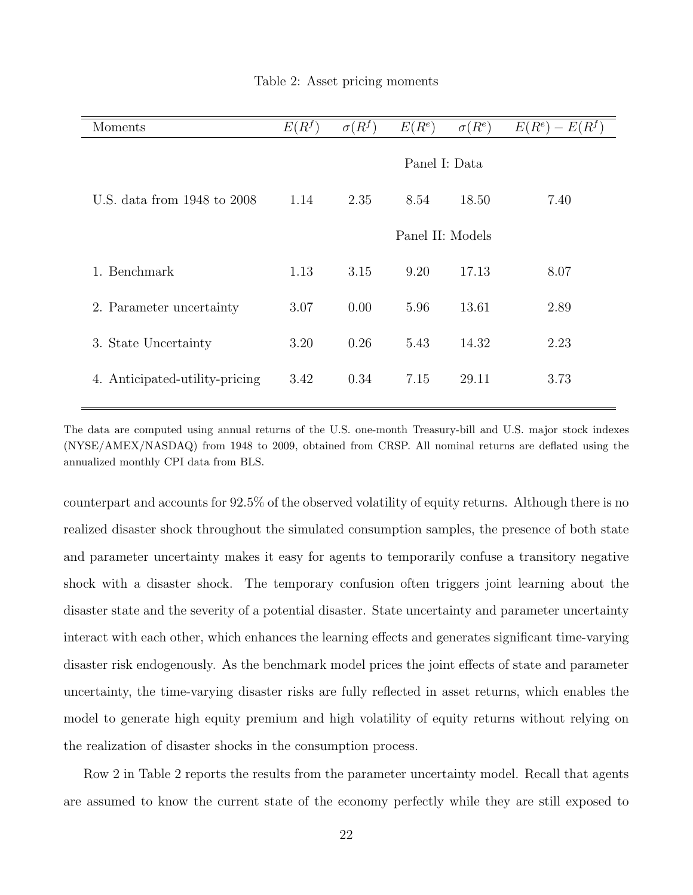| Moments                        | $E(R^f)$      | $\sigma(R^f)$    | $E(R^e)$ | $\sigma(R^e)$ | $E(R^e) - E(R^f)$ |  |
|--------------------------------|---------------|------------------|----------|---------------|-------------------|--|
|                                | Panel I: Data |                  |          |               |                   |  |
| U.S. data from 1948 to 2008    | 1.14          | 2.35             | 8.54     | 18.50         | 7.40              |  |
|                                |               | Panel II: Models |          |               |                   |  |
| 1. Benchmark                   | 1.13          | 3.15             | 9.20     | 17.13         | 8.07              |  |
| 2. Parameter uncertainty       | 3.07          | 0.00             | 5.96     | 13.61         | 2.89              |  |
| 3. State Uncertainty           | 3.20          | 0.26             | 5.43     | 14.32         | 2.23              |  |
| 4. Anticipated-utility-pricing | 3.42          | 0.34             | 7.15     | 29.11         | 3.73              |  |

Table 2: Asset pricing moments

The data are computed using annual returns of the U.S. one-month Treasury-bill and U.S. major stock indexes (NYSE/AMEX/NASDAQ) from 1948 to 2009, obtained from CRSP. All nominal returns are deflated using the annualized monthly CPI data from BLS.

counterpart and accounts for 92.5% of the observed volatility of equity returns. Although there is no realized disaster shock throughout the simulated consumption samples, the presence of both state and parameter uncertainty makes it easy for agents to temporarily confuse a transitory negative shock with a disaster shock. The temporary confusion often triggers joint learning about the disaster state and the severity of a potential disaster. State uncertainty and parameter uncertainty interact with each other, which enhances the learning effects and generates significant time-varying disaster risk endogenously. As the benchmark model prices the joint effects of state and parameter uncertainty, the time-varying disaster risks are fully reflected in asset returns, which enables the model to generate high equity premium and high volatility of equity returns without relying on the realization of disaster shocks in the consumption process.

Row 2 in Table 2 reports the results from the parameter uncertainty model. Recall that agents are assumed to know the current state of the economy perfectly while they are still exposed to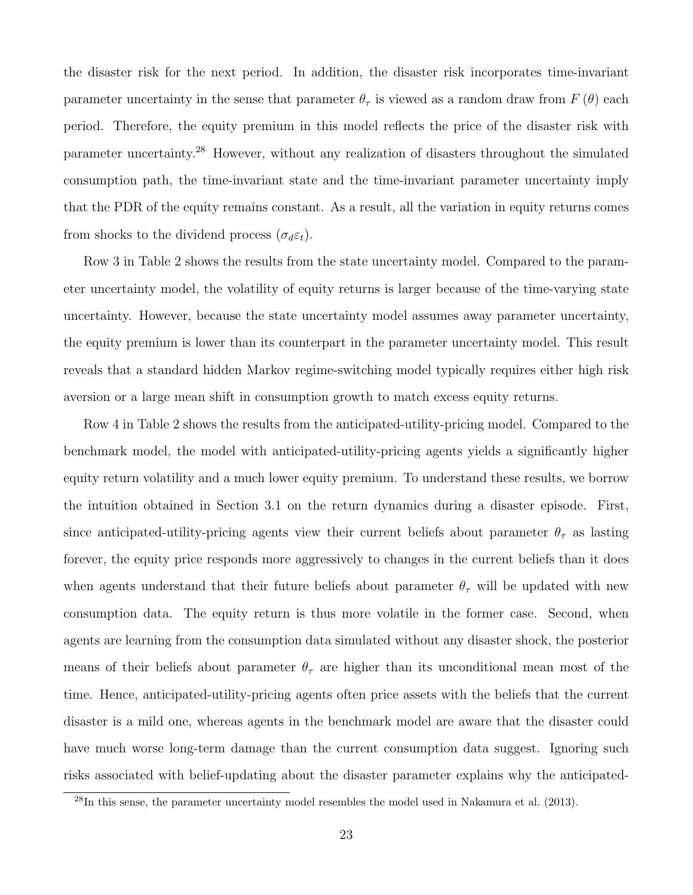the disaster risk for the next period. In addition, the disaster risk incorporates time-invariant parameter uncertainty in the sense that parameter  $\theta_{\tau}$  is viewed as a random draw from  $F(\theta)$  each period. Therefore, the equity premium in this model reflects the price of the disaster risk with parameter uncertainty.<sup>28</sup> However, without any realization of disasters throughout the simulated consumption path, the time-invariant state and the time-invariant parameter uncertainty imply that the PDR of the equity remains constant. As a result, all the variation in equity returns comes from shocks to the dividend process  $(\sigma_d \varepsilon_t)$ .

Row 3 in Table 2 shows the results from the state uncertainty model. Compared to the parameter uncertainty model, the volatility of equity returns is larger because of the time-varying state uncertainty. However, because the state uncertainty model assumes away parameter uncertainty, the equity premium is lower than its counterpart in the parameter uncertainty model. This result reveals that a standard hidden Markov regime-switching model typically requires either high risk aversion or a large mean shift in consumption growth to match excess equity returns.

Row 4 in Table 2 shows the results from the anticipated-utility-pricing model. Compared to the benchmark model, the model with anticipated-utility-pricing agents yields a significantly higher equity return volatility and a much lower equity premium. To understand these results, we borrow the intuition obtained in Section 3.1 on the return dynamics during a disaster episode. First, since anticipated-utility-pricing agents view their current beliefs about parameter  $\theta_{\tau}$  as lasting forever, the equity price responds more aggressively to changes in the current beliefs than it does when agents understand that their future beliefs about parameter  $\theta_{\tau}$  will be updated with new consumption data. The equity return is thus more volatile in the former case. Second, when agents are learning from the consumption data simulated without any disaster shock, the posterior means of their beliefs about parameter  $\theta_{\tau}$  are higher than its unconditional mean most of the time. Hence, anticipated-utility-pricing agents often price assets with the beliefs that the current disaster is a mild one, whereas agents in the benchmark model are aware that the disaster could have much worse long-term damage than the current consumption data suggest. Ignoring such risks associated with belief-updating about the disaster parameter explains why the anticipated-

<sup>28</sup>In this sense, the parameter uncertainty model resembles the model used in Nakamura et al. (2013).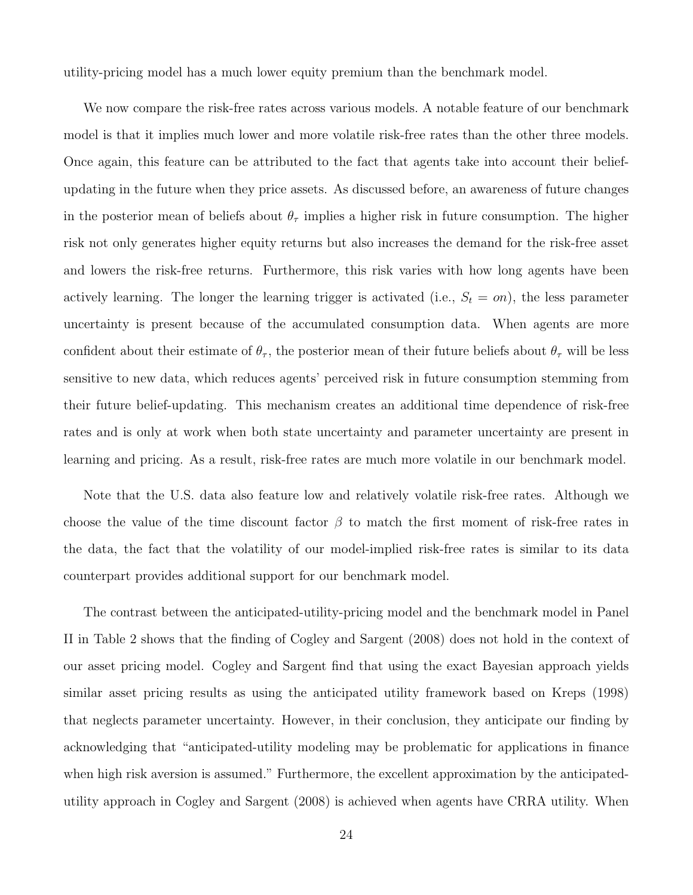utility-pricing model has a much lower equity premium than the benchmark model.

We now compare the risk-free rates across various models. A notable feature of our benchmark model is that it implies much lower and more volatile risk-free rates than the other three models. Once again, this feature can be attributed to the fact that agents take into account their beliefupdating in the future when they price assets. As discussed before, an awareness of future changes in the posterior mean of beliefs about  $\theta_{\tau}$  implies a higher risk in future consumption. The higher risk not only generates higher equity returns but also increases the demand for the risk-free asset and lowers the risk-free returns. Furthermore, this risk varies with how long agents have been actively learning. The longer the learning trigger is activated (i.e.,  $S_t = on$ ), the less parameter uncertainty is present because of the accumulated consumption data. When agents are more confident about their estimate of  $\theta_{\tau}$ , the posterior mean of their future beliefs about  $\theta_{\tau}$  will be less sensitive to new data, which reduces agents' perceived risk in future consumption stemming from their future belief-updating. This mechanism creates an additional time dependence of risk-free rates and is only at work when both state uncertainty and parameter uncertainty are present in learning and pricing. As a result, risk-free rates are much more volatile in our benchmark model.

Note that the U.S. data also feature low and relatively volatile risk-free rates. Although we choose the value of the time discount factor  $\beta$  to match the first moment of risk-free rates in the data, the fact that the volatility of our model-implied risk-free rates is similar to its data counterpart provides additional support for our benchmark model.

The contrast between the anticipated-utility-pricing model and the benchmark model in Panel II in Table 2 shows that the finding of Cogley and Sargent (2008) does not hold in the context of our asset pricing model. Cogley and Sargent find that using the exact Bayesian approach yields similar asset pricing results as using the anticipated utility framework based on Kreps (1998) that neglects parameter uncertainty. However, in their conclusion, they anticipate our finding by acknowledging that "anticipated-utility modeling may be problematic for applications in finance when high risk aversion is assumed." Furthermore, the excellent approximation by the anticipatedutility approach in Cogley and Sargent (2008) is achieved when agents have CRRA utility. When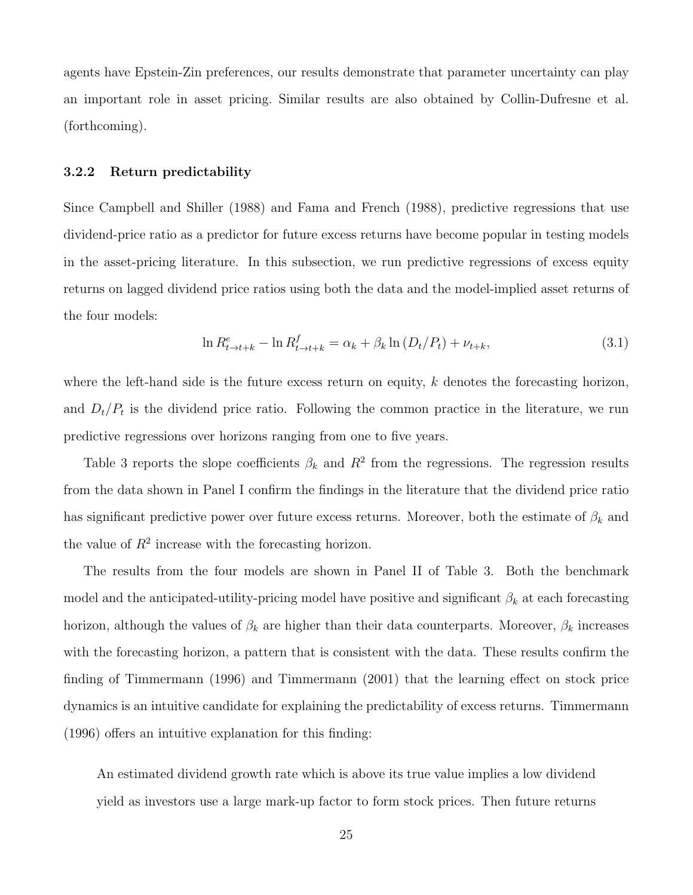agents have Epstein-Zin preferences, our results demonstrate that parameter uncertainty can play an important role in asset pricing. Similar results are also obtained by Collin-Dufresne et al. (forthcoming).

#### 3.2.2 Return predictability

Since Campbell and Shiller (1988) and Fama and French (1988), predictive regressions that use dividend-price ratio as a predictor for future excess returns have become popular in testing models in the asset-pricing literature. In this subsection, we run predictive regressions of excess equity returns on lagged dividend price ratios using both the data and the model-implied asset returns of the four models:

$$
\ln R_{t \to t+k}^e - \ln R_{t \to t+k}^f = \alpha_k + \beta_k \ln (D_t/P_t) + \nu_{t+k},
$$
\n(3.1)

where the left-hand side is the future excess return on equity,  $k$  denotes the forecasting horizon, and  $D_t/P_t$  is the dividend price ratio. Following the common practice in the literature, we run predictive regressions over horizons ranging from one to five years.

Table 3 reports the slope coefficients  $\beta_k$  and  $R^2$  from the regressions. The regression results from the data shown in Panel I confirm the findings in the literature that the dividend price ratio has significant predictive power over future excess returns. Moreover, both the estimate of  $\beta_k$  and the value of  $R^2$  increase with the forecasting horizon.

The results from the four models are shown in Panel II of Table 3. Both the benchmark model and the anticipated-utility-pricing model have positive and significant  $\beta_k$  at each forecasting horizon, although the values of  $\beta_k$  are higher than their data counterparts. Moreover,  $\beta_k$  increases with the forecasting horizon, a pattern that is consistent with the data. These results confirm the finding of Timmermann (1996) and Timmermann (2001) that the learning effect on stock price dynamics is an intuitive candidate for explaining the predictability of excess returns. Timmermann (1996) offers an intuitive explanation for this finding:

An estimated dividend growth rate which is above its true value implies a low dividend yield as investors use a large mark-up factor to form stock prices. Then future returns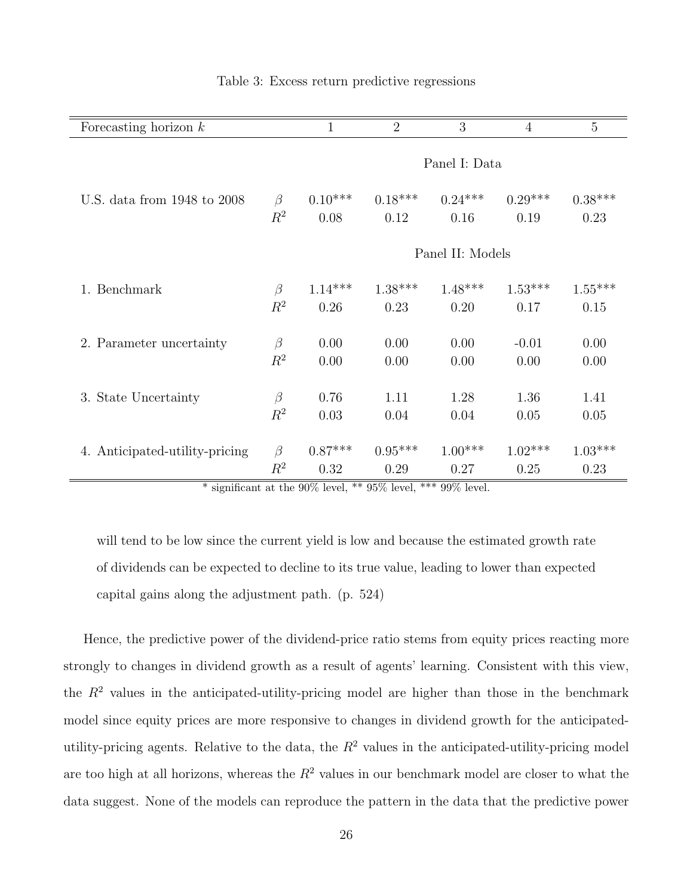| Forecasting horizon $k$        |                  | $\mathbf{1}$      | $\overline{2}$          | 3                        | $\overline{4}$    | $\overline{5}$    |
|--------------------------------|------------------|-------------------|-------------------------|--------------------------|-------------------|-------------------|
|                                |                  | Panel I: Data     |                         |                          |                   |                   |
| U.S. data from 1948 to 2008    | $\beta$<br>$R^2$ | $0.10***$<br>0.08 | $0.18***$<br>0.12       | $0.24***$<br>0.16        | $0.29***$<br>0.19 | $0.38***$<br>0.23 |
|                                | Panel II: Models |                   |                         |                          |                   |                   |
| 1. Benchmark                   | $\beta$          | $1.14***$         | $1.38***$               | $1.48***$                | $1.53***$         | $1.55***$         |
|                                | $R^2$            | 0.26              | 0.23                    | 0.20                     | 0.17              | 0.15              |
| 2. Parameter uncertainty       | $\beta$          | 0.00              | 0.00                    | 0.00                     | $-0.01$           | 0.00              |
|                                | $R^2$            | 0.00              | 0.00                    | 0.00                     | 0.00              | 0.00              |
| 3. State Uncertainty           | $\beta$          | 0.76              | 1.11                    | 1.28                     | 1.36              | 1.41              |
|                                | $R^2$            | 0.03              | 0.04                    | 0.04                     | 0.05              | 0.05              |
| 4. Anticipated-utility-pricing | $\beta$          | $0.87***$         | $0.95***$               | $1.00***$                | $1.02***$         | $1.03***$         |
| $\overline{v}$ $\overline{v}$  | $R^2$            | 0.32<br>$0.011$ 1 | 0.29<br>$1 + 4 + 0 = 0$ | 0.27<br>$1 + 4 + 60 + 1$ | 0.25              | 0.23              |

Table 3: Excess return predictive regressions

\* significant at the 90% level, \*\*  $95\%$  level, \*\*\*  $99\%$  level.

will tend to be low since the current yield is low and because the estimated growth rate of dividends can be expected to decline to its true value, leading to lower than expected capital gains along the adjustment path. (p. 524)

Hence, the predictive power of the dividend-price ratio stems from equity prices reacting more strongly to changes in dividend growth as a result of agents' learning. Consistent with this view, the  $R^2$  values in the anticipated-utility-pricing model are higher than those in the benchmark model since equity prices are more responsive to changes in dividend growth for the anticipatedutility-pricing agents. Relative to the data, the  $R^2$  values in the anticipated-utility-pricing model are too high at all horizons, whereas the  $R^2$  values in our benchmark model are closer to what the data suggest. None of the models can reproduce the pattern in the data that the predictive power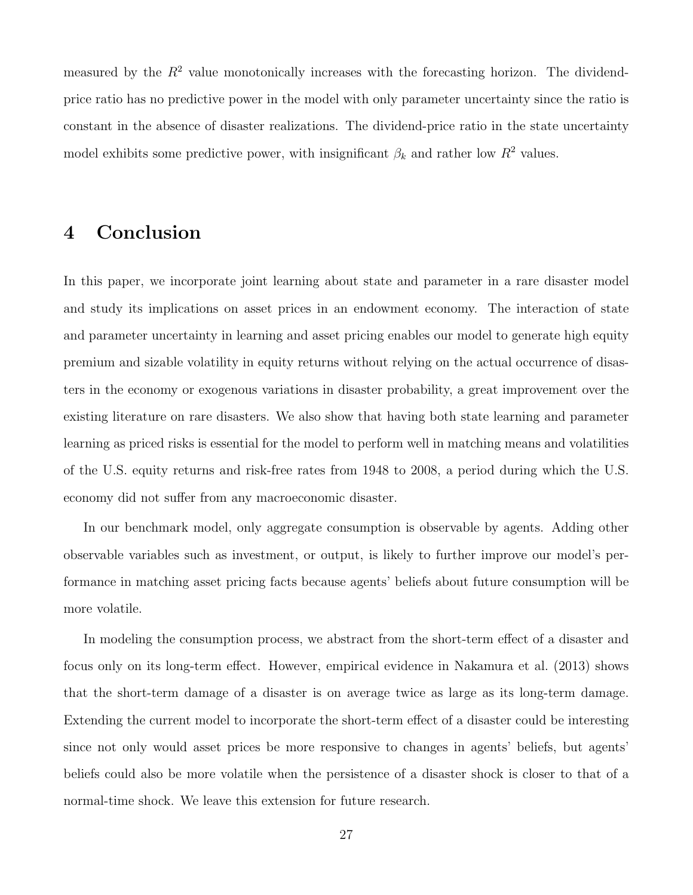measured by the  $R^2$  value monotonically increases with the forecasting horizon. The dividendprice ratio has no predictive power in the model with only parameter uncertainty since the ratio is constant in the absence of disaster realizations. The dividend-price ratio in the state uncertainty model exhibits some predictive power, with insignificant  $\beta_k$  and rather low  $R^2$  values.

# 4 Conclusion

In this paper, we incorporate joint learning about state and parameter in a rare disaster model and study its implications on asset prices in an endowment economy. The interaction of state and parameter uncertainty in learning and asset pricing enables our model to generate high equity premium and sizable volatility in equity returns without relying on the actual occurrence of disasters in the economy or exogenous variations in disaster probability, a great improvement over the existing literature on rare disasters. We also show that having both state learning and parameter learning as priced risks is essential for the model to perform well in matching means and volatilities of the U.S. equity returns and risk-free rates from 1948 to 2008, a period during which the U.S. economy did not suffer from any macroeconomic disaster.

In our benchmark model, only aggregate consumption is observable by agents. Adding other observable variables such as investment, or output, is likely to further improve our model's performance in matching asset pricing facts because agents' beliefs about future consumption will be more volatile.

In modeling the consumption process, we abstract from the short-term effect of a disaster and focus only on its long-term effect. However, empirical evidence in Nakamura et al. (2013) shows that the short-term damage of a disaster is on average twice as large as its long-term damage. Extending the current model to incorporate the short-term effect of a disaster could be interesting since not only would asset prices be more responsive to changes in agents' beliefs, but agents' beliefs could also be more volatile when the persistence of a disaster shock is closer to that of a normal-time shock. We leave this extension for future research.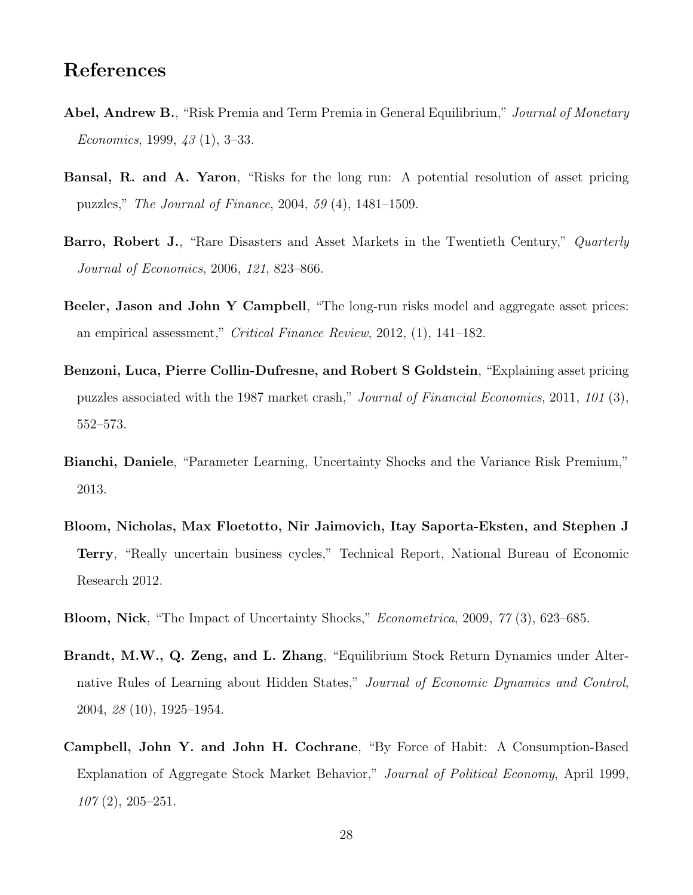# References

- Abel, Andrew B., "Risk Premia and Term Premia in General Equilibrium," Journal of Monetary Economics, 1999, 43 (1), 3–33.
- Bansal, R. and A. Yaron, "Risks for the long run: A potential resolution of asset pricing puzzles," The Journal of Finance, 2004, 59 (4), 1481–1509.
- Barro, Robert J., "Rare Disasters and Asset Markets in the Twentieth Century," Quarterly Journal of Economics, 2006, 121, 823–866.
- Beeler, Jason and John Y Campbell, "The long-run risks model and aggregate asset prices: an empirical assessment," Critical Finance Review, 2012, (1), 141–182.
- Benzoni, Luca, Pierre Collin-Dufresne, and Robert S Goldstein, "Explaining asset pricing puzzles associated with the 1987 market crash," Journal of Financial Economics, 2011, 101 (3), 552–573.
- Bianchi, Daniele, "Parameter Learning, Uncertainty Shocks and the Variance Risk Premium," 2013.
- Bloom, Nicholas, Max Floetotto, Nir Jaimovich, Itay Saporta-Eksten, and Stephen J Terry, "Really uncertain business cycles," Technical Report, National Bureau of Economic Research 2012.
- Bloom, Nick, "The Impact of Uncertainty Shocks," Econometrica, 2009, 77 (3), 623–685.
- Brandt, M.W., Q. Zeng, and L. Zhang, "Equilibrium Stock Return Dynamics under Alternative Rules of Learning about Hidden States," Journal of Economic Dynamics and Control, 2004, 28 (10), 1925–1954.
- Campbell, John Y. and John H. Cochrane, "By Force of Habit: A Consumption-Based Explanation of Aggregate Stock Market Behavior," Journal of Political Economy, April 1999, 107 (2), 205–251.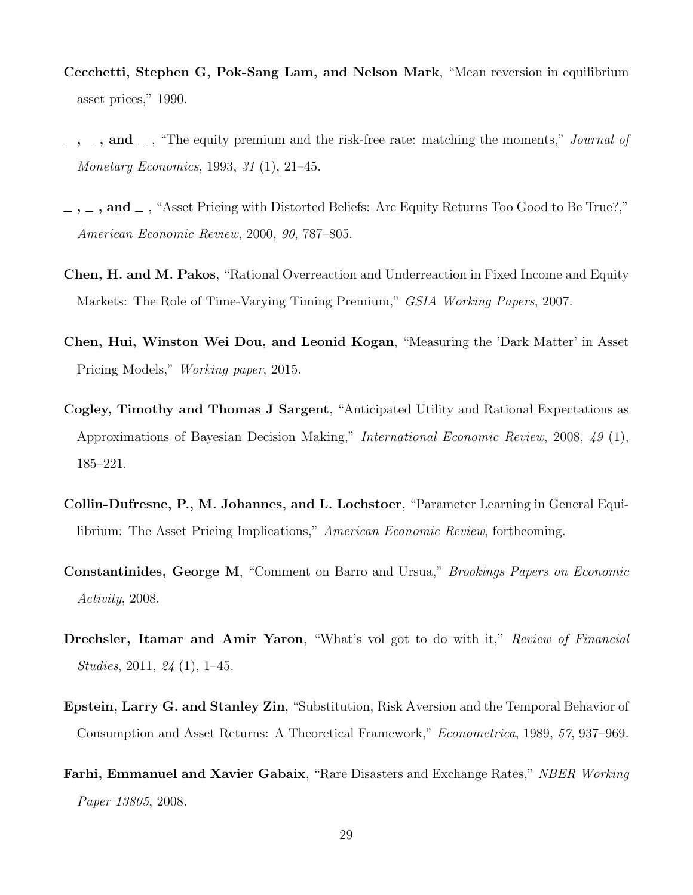- Cecchetti, Stephen G, Pok-Sang Lam, and Nelson Mark, "Mean reversion in equilibrium asset prices," 1990.
- $\ldots$ , and  $\ldots$ , "The equity premium and the risk-free rate: matching the moments," *Journal of* Monetary Economics, 1993, 31 (1), 21–45.
- $\ldots$ ,  $\ldots$ , and  $\ldots$ , "Asset Pricing with Distorted Beliefs: Are Equity Returns Too Good to Be True?," American Economic Review, 2000, 90, 787–805.
- Chen, H. and M. Pakos, "Rational Overreaction and Underreaction in Fixed Income and Equity Markets: The Role of Time-Varying Timing Premium," GSIA Working Papers, 2007.
- Chen, Hui, Winston Wei Dou, and Leonid Kogan, "Measuring the 'Dark Matter' in Asset Pricing Models," Working paper, 2015.
- Cogley, Timothy and Thomas J Sargent, "Anticipated Utility and Rational Expectations as Approximations of Bayesian Decision Making," International Economic Review, 2008, 49 (1), 185–221.
- Collin-Dufresne, P., M. Johannes, and L. Lochstoer, "Parameter Learning in General Equilibrium: The Asset Pricing Implications," American Economic Review, forthcoming.
- Constantinides, George M, "Comment on Barro and Ursua," Brookings Papers on Economic Activity, 2008.
- Drechsler, Itamar and Amir Yaron, "What's vol got to do with it," Review of Financial Studies, 2011, 24 (1), 1–45.
- Epstein, Larry G. and Stanley Zin, "Substitution, Risk Aversion and the Temporal Behavior of Consumption and Asset Returns: A Theoretical Framework," Econometrica, 1989, 57, 937–969.
- Farhi, Emmanuel and Xavier Gabaix, "Rare Disasters and Exchange Rates," NBER Working Paper 13805, 2008.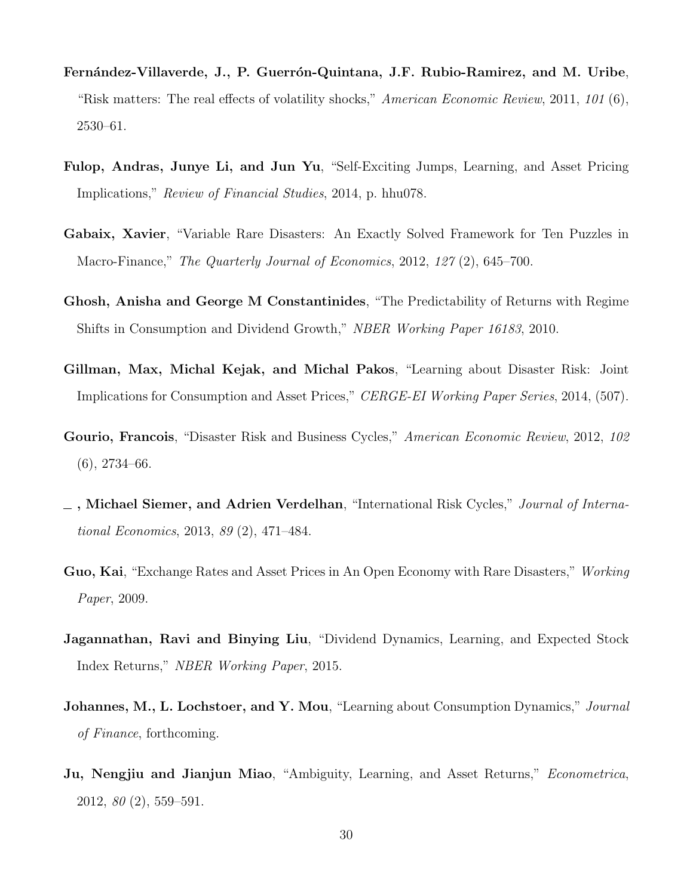- Fernández-Villaverde, J., P. Guerrón-Quintana, J.F. Rubio-Ramirez, and M. Uribe, "Risk matters: The real effects of volatility shocks," American Economic Review, 2011, 101 (6), 2530–61.
- Fulop, Andras, Junye Li, and Jun Yu, "Self-Exciting Jumps, Learning, and Asset Pricing Implications," Review of Financial Studies, 2014, p. hhu078.
- Gabaix, Xavier, "Variable Rare Disasters: An Exactly Solved Framework for Ten Puzzles in Macro-Finance," The Quarterly Journal of Economics, 2012, 127(2), 645–700.
- Ghosh, Anisha and George M Constantinides, "The Predictability of Returns with Regime Shifts in Consumption and Dividend Growth," NBER Working Paper 16183, 2010.
- Gillman, Max, Michal Kejak, and Michal Pakos, "Learning about Disaster Risk: Joint Implications for Consumption and Asset Prices," CERGE-EI Working Paper Series, 2014, (507).
- Gourio, Francois, "Disaster Risk and Business Cycles," American Economic Review, 2012, 102 (6), 2734–66.
- $\Box$ , Michael Siemer, and Adrien Verdelhan, "International Risk Cycles," *Journal of Interna*tional Economics, 2013, 89 (2), 471–484.
- Guo, Kai, "Exchange Rates and Asset Prices in An Open Economy with Rare Disasters," Working Paper, 2009.
- Jagannathan, Ravi and Binying Liu, "Dividend Dynamics, Learning, and Expected Stock Index Returns," NBER Working Paper, 2015.
- Johannes, M., L. Lochstoer, and Y. Mou, "Learning about Consumption Dynamics," Journal of Finance, forthcoming.
- **Ju, Nengjiu and Jianjun Miao**, "Ambiguity, Learning, and Asset Returns," *Econometrica*, 2012, 80 (2), 559–591.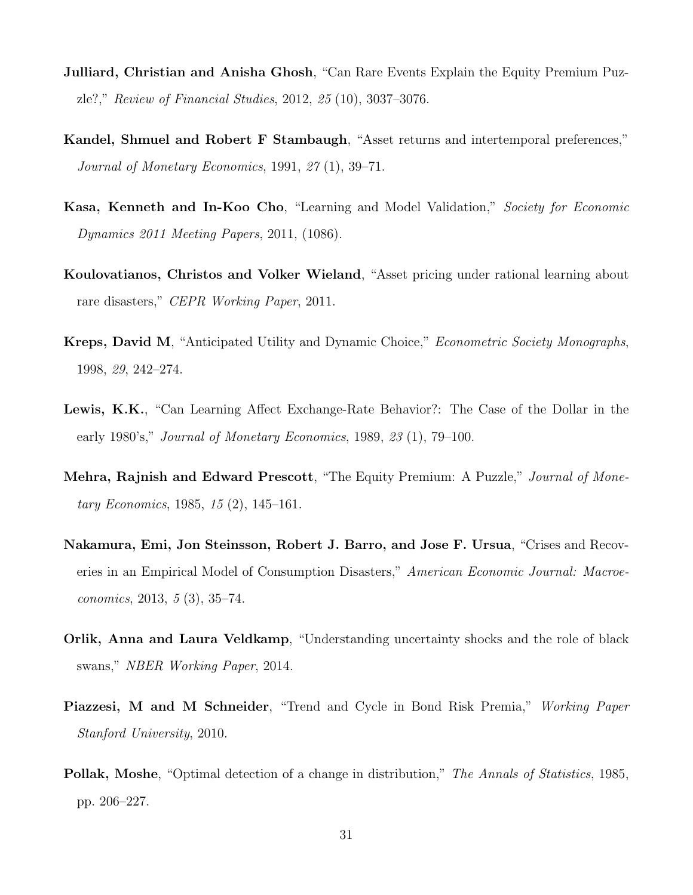- Julliard, Christian and Anisha Ghosh, "Can Rare Events Explain the Equity Premium Puzzle?," Review of Financial Studies, 2012, 25 (10), 3037–3076.
- Kandel, Shmuel and Robert F Stambaugh, "Asset returns and intertemporal preferences," Journal of Monetary Economics, 1991, 27 (1), 39–71.
- Kasa, Kenneth and In-Koo Cho, "Learning and Model Validation," Society for Economic Dynamics 2011 Meeting Papers, 2011, (1086).
- Koulovatianos, Christos and Volker Wieland, "Asset pricing under rational learning about rare disasters," CEPR Working Paper, 2011.
- Kreps, David M, "Anticipated Utility and Dynamic Choice," Econometric Society Monographs, 1998, 29, 242–274.
- Lewis, K.K., "Can Learning Affect Exchange-Rate Behavior?: The Case of the Dollar in the early 1980's," Journal of Monetary Economics, 1989, 23 (1), 79–100.
- Mehra, Rajnish and Edward Prescott, "The Equity Premium: A Puzzle," Journal of Monetary Economics, 1985, 15 (2), 145–161.
- Nakamura, Emi, Jon Steinsson, Robert J. Barro, and Jose F. Ursua, "Crises and Recoveries in an Empirical Model of Consumption Disasters," American Economic Journal: Macroeconomics, 2013, 5 (3), 35–74.
- Orlik, Anna and Laura Veldkamp, "Understanding uncertainty shocks and the role of black swans," NBER Working Paper, 2014.
- Piazzesi, M and M Schneider, "Trend and Cycle in Bond Risk Premia," Working Paper Stanford University, 2010.
- Pollak, Moshe, "Optimal detection of a change in distribution," The Annals of Statistics, 1985, pp. 206–227.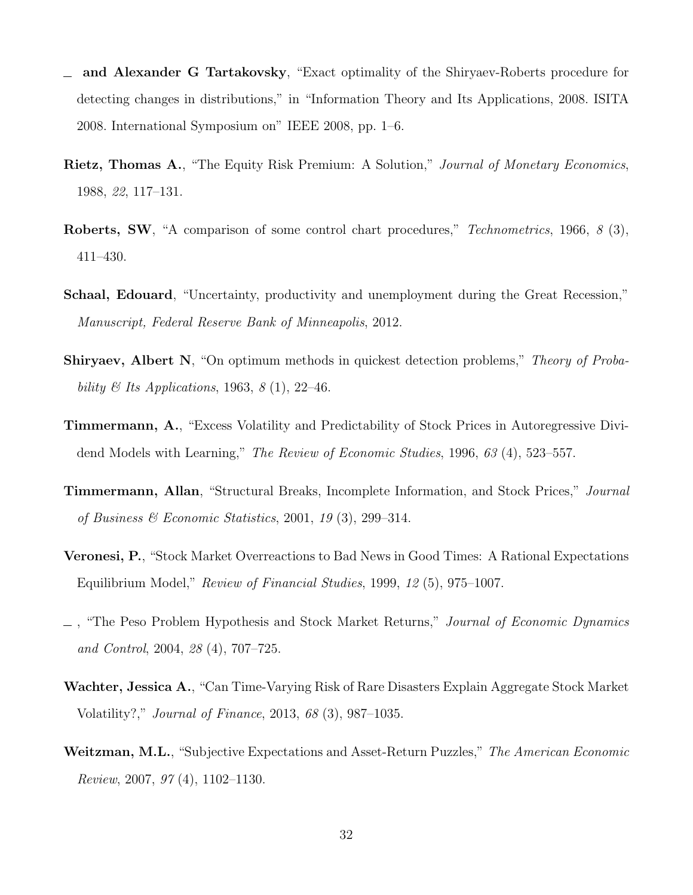- and Alexander G Tartakovsky, "Exact optimality of the Shiryaev-Roberts procedure for detecting changes in distributions," in "Information Theory and Its Applications, 2008. ISITA 2008. International Symposium on" IEEE 2008, pp. 1–6.
- Rietz, Thomas A., "The Equity Risk Premium: A Solution," Journal of Monetary Economics, 1988, 22, 117–131.
- Roberts, SW, "A comparison of some control chart procedures," *Technometrics*, 1966, 8 (3), 411–430.
- Schaal, Edouard, "Uncertainty, productivity and unemployment during the Great Recession," Manuscript, Federal Reserve Bank of Minneapolis, 2012.
- Shiryaev, Albert N, "On optimum methods in quickest detection problems," Theory of Probability & Its Applications, 1963,  $8(1)$ , 22-46.
- Timmermann, A., "Excess Volatility and Predictability of Stock Prices in Autoregressive Dividend Models with Learning," The Review of Economic Studies, 1996, 63 (4), 523–557.
- Timmermann, Allan, "Structural Breaks, Incomplete Information, and Stock Prices," Journal of Business  $\mathcal B$  Economic Statistics, 2001, 19 (3), 299–314.
- Veronesi, P., "Stock Market Overreactions to Bad News in Good Times: A Rational Expectations Equilibrium Model," Review of Financial Studies, 1999, 12 (5), 975–1007.
- $\Box$ , "The Peso Problem Hypothesis and Stock Market Returns," *Journal of Economic Dynamics* and Control, 2004, 28 (4), 707–725.
- Wachter, Jessica A., "Can Time-Varying Risk of Rare Disasters Explain Aggregate Stock Market Volatility?," Journal of Finance, 2013, 68 (3), 987–1035.
- Weitzman, M.L., "Subjective Expectations and Asset-Return Puzzles," The American Economic Review, 2007, 97 (4), 1102–1130.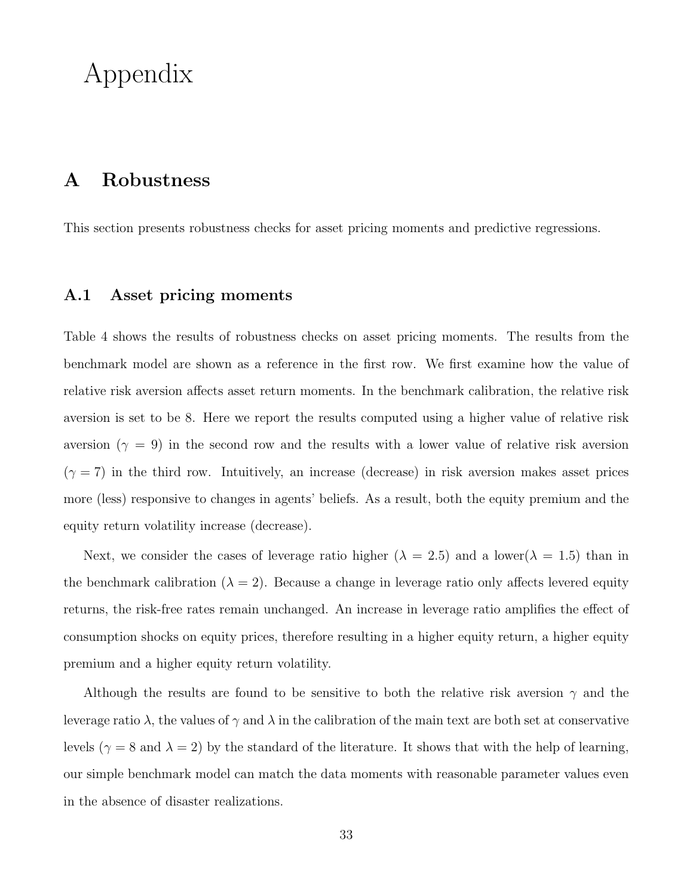# Appendix

# A Robustness

This section presents robustness checks for asset pricing moments and predictive regressions.

### A.1 Asset pricing moments

Table 4 shows the results of robustness checks on asset pricing moments. The results from the benchmark model are shown as a reference in the first row. We first examine how the value of relative risk aversion affects asset return moments. In the benchmark calibration, the relative risk aversion is set to be 8. Here we report the results computed using a higher value of relative risk aversion ( $\gamma = 9$ ) in the second row and the results with a lower value of relative risk aversion  $(\gamma = 7)$  in the third row. Intuitively, an increase (decrease) in risk aversion makes asset prices more (less) responsive to changes in agents' beliefs. As a result, both the equity premium and the equity return volatility increase (decrease).

Next, we consider the cases of leverage ratio higher  $(\lambda = 2.5)$  and a lower $(\lambda = 1.5)$  than in the benchmark calibration ( $\lambda = 2$ ). Because a change in leverage ratio only affects levered equity returns, the risk-free rates remain unchanged. An increase in leverage ratio amplifies the effect of consumption shocks on equity prices, therefore resulting in a higher equity return, a higher equity premium and a higher equity return volatility.

Although the results are found to be sensitive to both the relative risk aversion  $\gamma$  and the leverage ratio  $\lambda$ , the values of  $\gamma$  and  $\lambda$  in the calibration of the main text are both set at conservative levels ( $\gamma = 8$  and  $\lambda = 2$ ) by the standard of the literature. It shows that with the help of learning, our simple benchmark model can match the data moments with reasonable parameter values even in the absence of disaster realizations.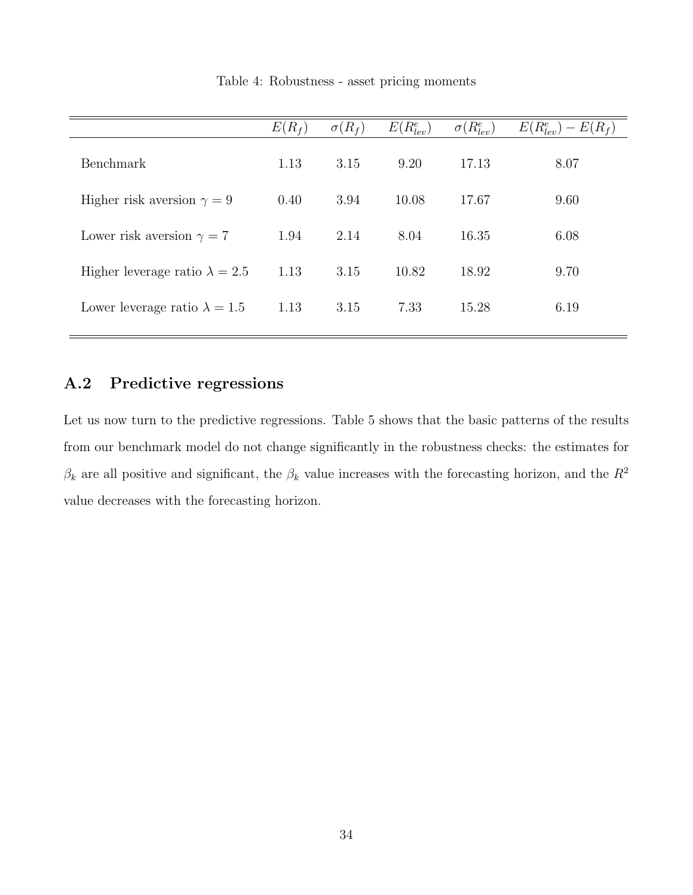| $E(R_{lev}^e)$<br>$\sigma(R_f)$ | $\sigma(R_{lev}^e)$ | $E(R_{lev}^e) - E(R_f)$ |
|---------------------------------|---------------------|-------------------------|
| 3.15<br>9.20                    | 17.13               | 8.07                    |
| 3.94<br>10.08                   | 17.67               | 9.60                    |
| 2.14<br>8.04                    | 16.35               | 6.08                    |
| 10.82<br>3.15                   | 18.92               | 9.70                    |
| 7.33<br>3.15                    | 15.28               | 6.19                    |
|                                 |                     |                         |

Table 4: Robustness - asset pricing moments

## A.2 Predictive regressions

Let us now turn to the predictive regressions. Table 5 shows that the basic patterns of the results from our benchmark model do not change significantly in the robustness checks: the estimates for  $\beta_k$  are all positive and significant, the  $\beta_k$  value increases with the forecasting horizon, and the  $R^2$ value decreases with the forecasting horizon.